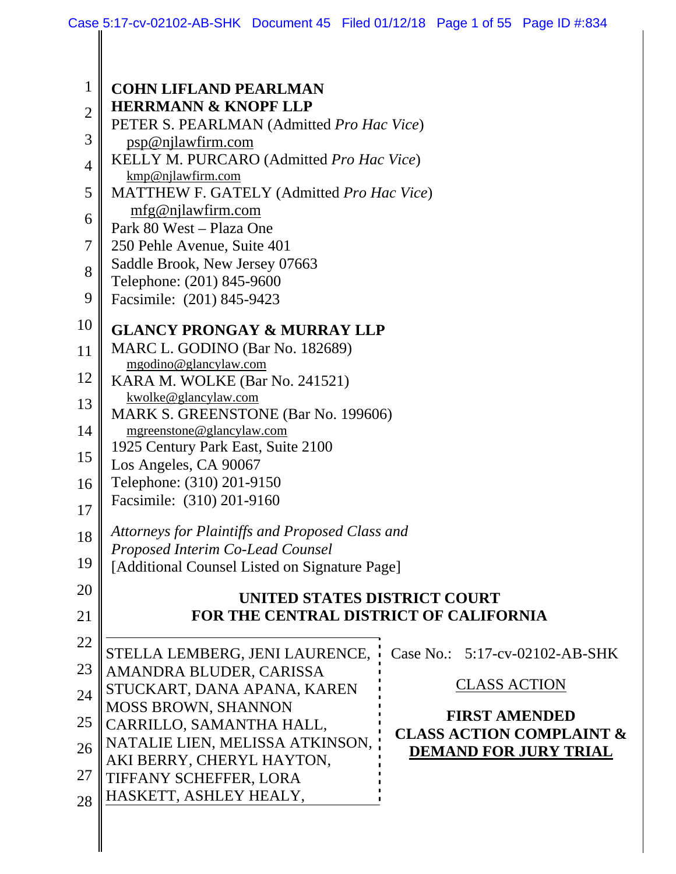| $\mathbf{1}$   | <b>COHN LIFLAND PEARLMAN</b>                                                  |                                                             |  |
|----------------|-------------------------------------------------------------------------------|-------------------------------------------------------------|--|
| $\overline{2}$ | <b>HERRMANN &amp; KNOPF LLP</b>                                               |                                                             |  |
| 3              | PETER S. PEARLMAN (Admitted Pro Hac Vice)                                     |                                                             |  |
|                | psp@njlawfirm.com                                                             |                                                             |  |
| 4              | KELLY M. PURCARO (Admitted Pro Hac Vice)<br>kmp@njlawfirm.com                 |                                                             |  |
| 5              | MATTHEW F. GATELY (Admitted Pro Hac Vice)                                     |                                                             |  |
|                | mfg@njlawfirm.com                                                             |                                                             |  |
| 6              | Park 80 West - Plaza One                                                      |                                                             |  |
| 7              | 250 Pehle Avenue, Suite 401                                                   |                                                             |  |
| 8              | Saddle Brook, New Jersey 07663                                                |                                                             |  |
|                | Telephone: (201) 845-9600                                                     |                                                             |  |
| 9              | Facsimile: (201) 845-9423                                                     |                                                             |  |
| 10             | <b>GLANCY PRONGAY &amp; MURRAY LLP</b>                                        |                                                             |  |
| 11             | MARC L. GODINO (Bar No. 182689)                                               |                                                             |  |
|                | mgodino@glancylaw.com                                                         |                                                             |  |
| 12             | KARA M. WOLKE (Bar No. 241521)                                                |                                                             |  |
| 13             | kwolke@glancylaw.com<br>MARK S. GREENSTONE (Bar No. 199606)                   |                                                             |  |
| 14             | mgreenstone@glancylaw.com                                                     |                                                             |  |
|                | 1925 Century Park East, Suite 2100                                            |                                                             |  |
| 15             | Los Angeles, CA 90067                                                         |                                                             |  |
| 16             | Telephone: (310) 201-9150                                                     |                                                             |  |
| 17             | Facsimile: (310) 201-9160                                                     |                                                             |  |
|                | Attorneys for Plaintiffs and Proposed Class and                               |                                                             |  |
| 18             | Proposed Interim Co-Lead Counsel                                              |                                                             |  |
| 19             | [Additional Counsel Listed on Signature Page]                                 |                                                             |  |
| 20             |                                                                               |                                                             |  |
|                | <b>UNITED STATES DISTRICT COURT</b><br>FOR THE CENTRAL DISTRICT OF CALIFORNIA |                                                             |  |
| 21             |                                                                               |                                                             |  |
| 22             | STELLA LEMBERG, JENI LAURENCE,                                                | Case No.: 5:17-cv-02102-AB-SHK                              |  |
| 23             | AMANDRA BLUDER, CARISSA                                                       |                                                             |  |
|                | STUCKART, DANA APANA, KAREN                                                   | <b>CLASS ACTION</b>                                         |  |
| 24             | MOSS BROWN, SHANNON                                                           |                                                             |  |
| 25             | CARRILLO, SAMANTHA HALL,                                                      | <b>FIRST AMENDED</b><br><b>CLASS ACTION COMPLAINT &amp;</b> |  |
| 26             | NATALIE LIEN, MELISSA ATKINSON,                                               | <b>DEMAND FOR JURY TRIAL</b>                                |  |
|                | AKI BERRY, CHERYL HAYTON,                                                     |                                                             |  |
| 27             | TIFFANY SCHEFFER, LORA                                                        |                                                             |  |
| 28             | HASKETT, ASHLEY HEALY,                                                        |                                                             |  |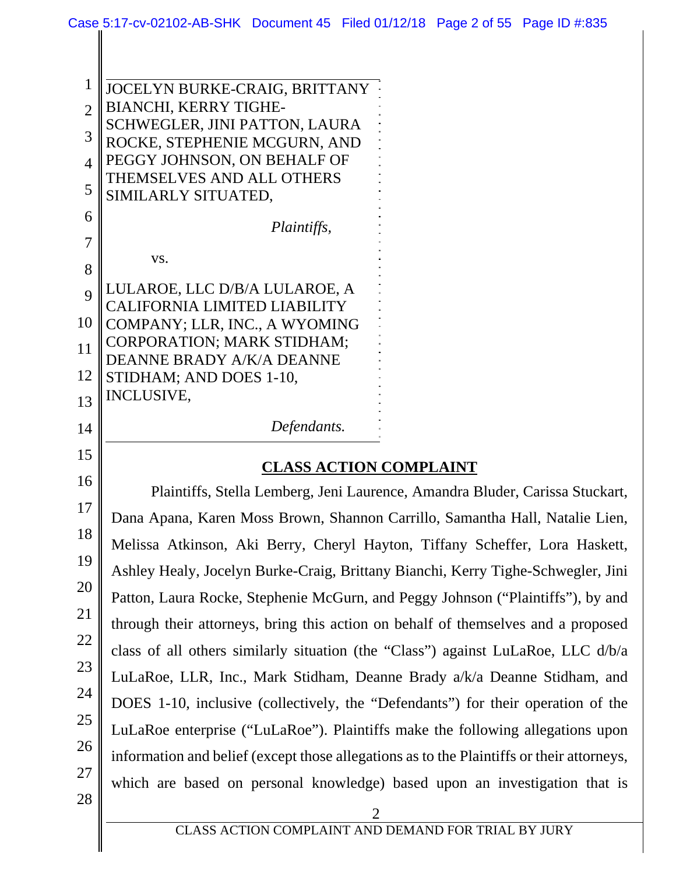| 1                           | JOCELYN BURKE-CRAIG, BRITTANY                                                |  |
|-----------------------------|------------------------------------------------------------------------------|--|
| $\mathcal{D}_{\mathcal{L}}$ | <b>BIANCHI, KERRY TIGHE-</b>                                                 |  |
|                             | SCHWEGLER, JINI PATTON, LAURA                                                |  |
| 3                           | ROCKE, STEPHENIE MCGURN, AND                                                 |  |
| $\boldsymbol{\Lambda}$      | PEGGY JOHNSON, ON BEHALF OF                                                  |  |
|                             | THEMSELVES AND ALL OTHERS                                                    |  |
| 5                           | SIMILARLY SITUATED,                                                          |  |
| 6                           |                                                                              |  |
| 7                           | <i>Plaintiffs,</i>                                                           |  |
|                             | VS.                                                                          |  |
| 8                           |                                                                              |  |
| $\overline{Q}$              | LULAROE, LLC D/B/A LULAROE, A                                                |  |
|                             | CALIFORNIA LIMITED LIABILITY                                                 |  |
| 10                          | COMPANY; LLR, INC., A WYOMING                                                |  |
| 11                          | <b>CORPORATION; MARK STIDHAM;</b>                                            |  |
|                             | DEANNE BRADY A/K/A DEANNE                                                    |  |
| 12                          | STIDHAM; AND DOES 1-10,                                                      |  |
| 13                          | <b>INCLUSIVE,</b>                                                            |  |
| 14                          | Defendants.                                                                  |  |
| 15                          |                                                                              |  |
|                             | <b>CLASS ACTION COMPLAINT</b>                                                |  |
| 16                          | Plaintiffs, Stella Lemberg, Jeni Laurence, Amandra Bluder, Carissa Stuckart, |  |
| 17                          | Dana Anana, Karen Moss Brown, Shannon Carrillo, Samantha Hall, Natalie Lien  |  |

18 19 20 21 22 23 24 25 26 27 28 Brown, Shannon Carrillo, Samantha Hall, Natalie Lien, Melissa Atkinson, Aki Berry, Cheryl Hayton, Tiffany Scheffer, Lora Haskett, Ashley Healy, Jocelyn Burke-Craig, Brittany Bianchi, Kerry Tighe-Schwegler, Jini Patton, Laura Rocke, Stephenie McGurn, and Peggy Johnson ("Plaintiffs"), by and through their attorneys, bring this action on behalf of themselves and a proposed class of all others similarly situation (the "Class") against LuLaRoe, LLC d/b/a LuLaRoe, LLR, Inc., Mark Stidham, Deanne Brady a/k/a Deanne Stidham, and DOES 1-10, inclusive (collectively, the "Defendants") for their operation of the LuLaRoe enterprise ("LuLaRoe"). Plaintiffs make the following allegations upon information and belief (except those allegations as to the Plaintiffs or their attorneys, which are based on personal knowledge) based upon an investigation that is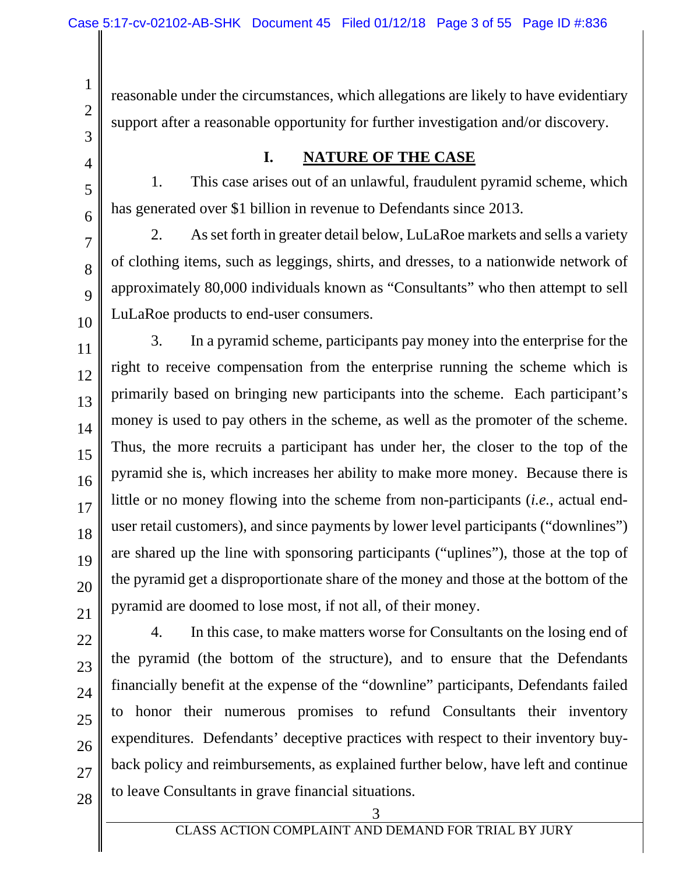reasonable under the circumstances, which allegations are likely to have evidentiary support after a reasonable opportunity for further investigation and/or discovery.

## **I. NATURE OF THE CASE**

1. This case arises out of an unlawful, fraudulent pyramid scheme, which has generated over \$1 billion in revenue to Defendants since 2013.

7 8 9 10 2. As set forth in greater detail below, LuLaRoe markets and sells a variety of clothing items, such as leggings, shirts, and dresses, to a nationwide network of approximately 80,000 individuals known as "Consultants" who then attempt to sell LuLaRoe products to end-user consumers.

3. In a pyramid scheme, participants pay money into the enterprise for the right to receive compensation from the enterprise running the scheme which is primarily based on bringing new participants into the scheme. Each participant's money is used to pay others in the scheme, as well as the promoter of the scheme. Thus, the more recruits a participant has under her, the closer to the top of the pyramid she is, which increases her ability to make more money. Because there is little or no money flowing into the scheme from non-participants (*i.e.*, actual enduser retail customers), and since payments by lower level participants ("downlines") are shared up the line with sponsoring participants ("uplines"), those at the top of the pyramid get a disproportionate share of the money and those at the bottom of the pyramid are doomed to lose most, if not all, of their money.

22 23 24 25 26 27 4. In this case, to make matters worse for Consultants on the losing end of the pyramid (the bottom of the structure), and to ensure that the Defendants financially benefit at the expense of the "downline" participants, Defendants failed to honor their numerous promises to refund Consultants their inventory expenditures. Defendants' deceptive practices with respect to their inventory buyback policy and reimbursements, as explained further below, have left and continue to leave Consultants in grave financial situations.

28

1

2

3

4

5

6

11

12

13

14

15

16

17

18

19

20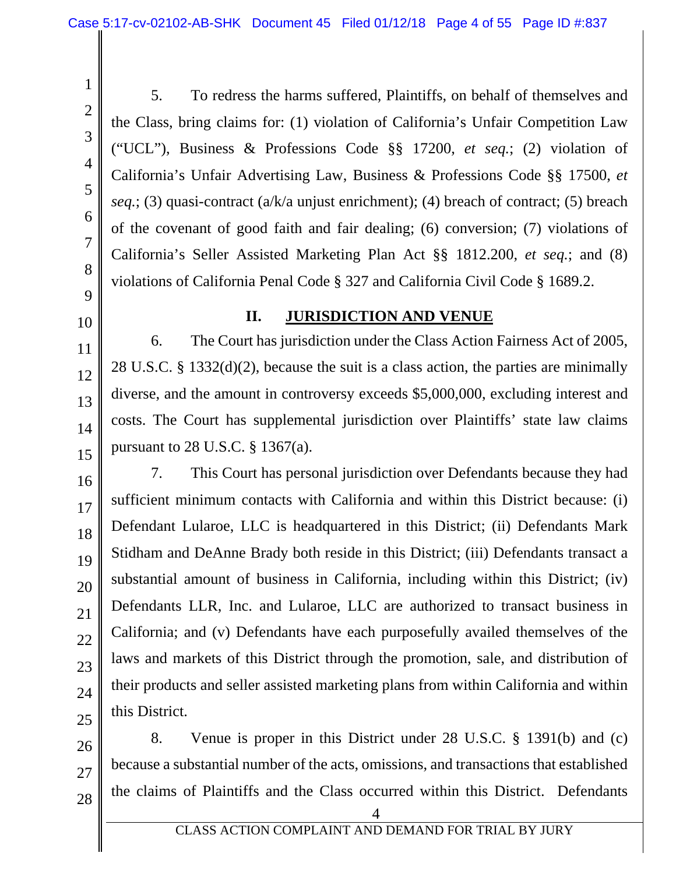4

5

6

7

8

1

5. To redress the harms suffered, Plaintiffs, on behalf of themselves and the Class, bring claims for: (1) violation of California's Unfair Competition Law ("UCL"), Business & Professions Code §§ 17200, *et seq.*; (2) violation of California's Unfair Advertising Law, Business & Professions Code §§ 17500, *et seq.*; (3) quasi-contract (a/k/a unjust enrichment); (4) breach of contract; (5) breach of the covenant of good faith and fair dealing; (6) conversion; (7) violations of California's Seller Assisted Marketing Plan Act §§ 1812.200, *et seq.*; and (8) violations of California Penal Code § 327 and California Civil Code § 1689.2.

# 9 10

11

12

13

14

15

17

18

20

21

22

23

24

### **II. JURISDICTION AND VENUE**

6. The Court has jurisdiction under the Class Action Fairness Act of 2005, 28 U.S.C. § 1332(d)(2), because the suit is a class action, the parties are minimally diverse, and the amount in controversy exceeds \$5,000,000, excluding interest and costs. The Court has supplemental jurisdiction over Plaintiffs' state law claims pursuant to 28 U.S.C. § 1367(a).

16 19 25 7. This Court has personal jurisdiction over Defendants because they had sufficient minimum contacts with California and within this District because: (i) Defendant Lularoe, LLC is headquartered in this District; (ii) Defendants Mark Stidham and DeAnne Brady both reside in this District; (iii) Defendants transact a substantial amount of business in California, including within this District; (iv) Defendants LLR, Inc. and Lularoe, LLC are authorized to transact business in California; and (v) Defendants have each purposefully availed themselves of the laws and markets of this District through the promotion, sale, and distribution of their products and seller assisted marketing plans from within California and within this District.

26 27 8. Venue is proper in this District under 28 U.S.C. § 1391(b) and (c) because a substantial number of the acts, omissions, and transactions that established the claims of Plaintiffs and the Class occurred within this District. Defendants

28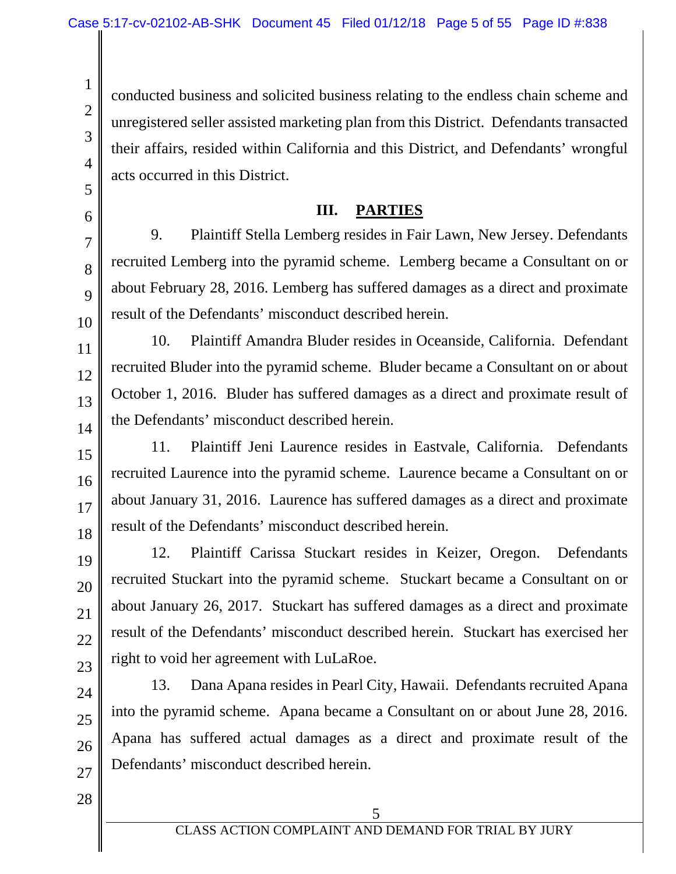conducted business and solicited business relating to the endless chain scheme and unregistered seller assisted marketing plan from this District. Defendants transacted their affairs, resided within California and this District, and Defendants' wrongful acts occurred in this District.

#### **III. PARTIES**

9. Plaintiff Stella Lemberg resides in Fair Lawn, New Jersey. Defendants recruited Lemberg into the pyramid scheme. Lemberg became a Consultant on or about February 28, 2016. Lemberg has suffered damages as a direct and proximate result of the Defendants' misconduct described herein.

10. Plaintiff Amandra Bluder resides in Oceanside, California. Defendant recruited Bluder into the pyramid scheme. Bluder became a Consultant on or about October 1, 2016. Bluder has suffered damages as a direct and proximate result of the Defendants' misconduct described herein.

11. Plaintiff Jeni Laurence resides in Eastvale, California. Defendants recruited Laurence into the pyramid scheme. Laurence became a Consultant on or about January 31, 2016. Laurence has suffered damages as a direct and proximate result of the Defendants' misconduct described herein.

12. Plaintiff Carissa Stuckart resides in Keizer, Oregon. Defendants recruited Stuckart into the pyramid scheme. Stuckart became a Consultant on or about January 26, 2017. Stuckart has suffered damages as a direct and proximate result of the Defendants' misconduct described herein. Stuckart has exercised her right to void her agreement with LuLaRoe.

13. Dana Apana resides in Pearl City, Hawaii. Defendants recruited Apana into the pyramid scheme. Apana became a Consultant on or about June 28, 2016. Apana has suffered actual damages as a direct and proximate result of the Defendants' misconduct described herein.

28

1

2

3

4

5

6

7

8

9

10

11

12

13

14

15

16

17

18

19

20

21

22

23

24

25

26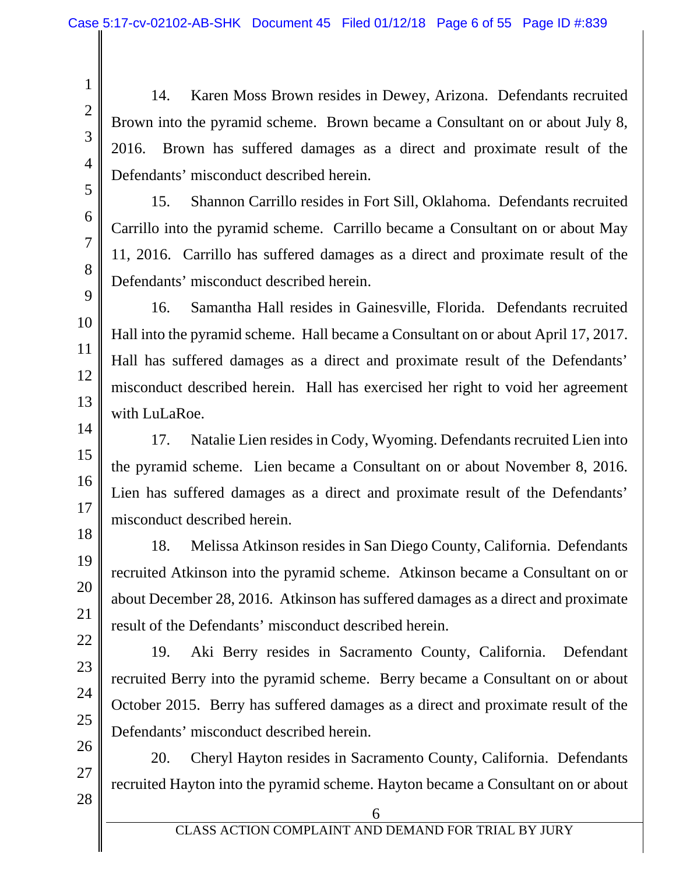14. Karen Moss Brown resides in Dewey, Arizona. Defendants recruited Brown into the pyramid scheme. Brown became a Consultant on or about July 8, 2016. Brown has suffered damages as a direct and proximate result of the Defendants' misconduct described herein.

15. Shannon Carrillo resides in Fort Sill, Oklahoma. Defendants recruited Carrillo into the pyramid scheme. Carrillo became a Consultant on or about May 11, 2016. Carrillo has suffered damages as a direct and proximate result of the Defendants' misconduct described herein.

16. Samantha Hall resides in Gainesville, Florida. Defendants recruited Hall into the pyramid scheme. Hall became a Consultant on or about April 17, 2017. Hall has suffered damages as a direct and proximate result of the Defendants' misconduct described herein. Hall has exercised her right to void her agreement with LuLaRoe.

17. Natalie Lien resides in Cody, Wyoming. Defendants recruited Lien into the pyramid scheme. Lien became a Consultant on or about November 8, 2016. Lien has suffered damages as a direct and proximate result of the Defendants' misconduct described herein.

18. Melissa Atkinson resides in San Diego County, California. Defendants recruited Atkinson into the pyramid scheme. Atkinson became a Consultant on or about December 28, 2016. Atkinson has suffered damages as a direct and proximate result of the Defendants' misconduct described herein.

19. Aki Berry resides in Sacramento County, California. Defendant recruited Berry into the pyramid scheme. Berry became a Consultant on or about October 2015. Berry has suffered damages as a direct and proximate result of the Defendants' misconduct described herein.

20. Cheryl Hayton resides in Sacramento County, California. Defendants recruited Hayton into the pyramid scheme. Hayton became a Consultant on or about

28

1

2

3

4

5

6

7

8

9

10

11

12

13

14

15

16

17

18

19

20

21

22

23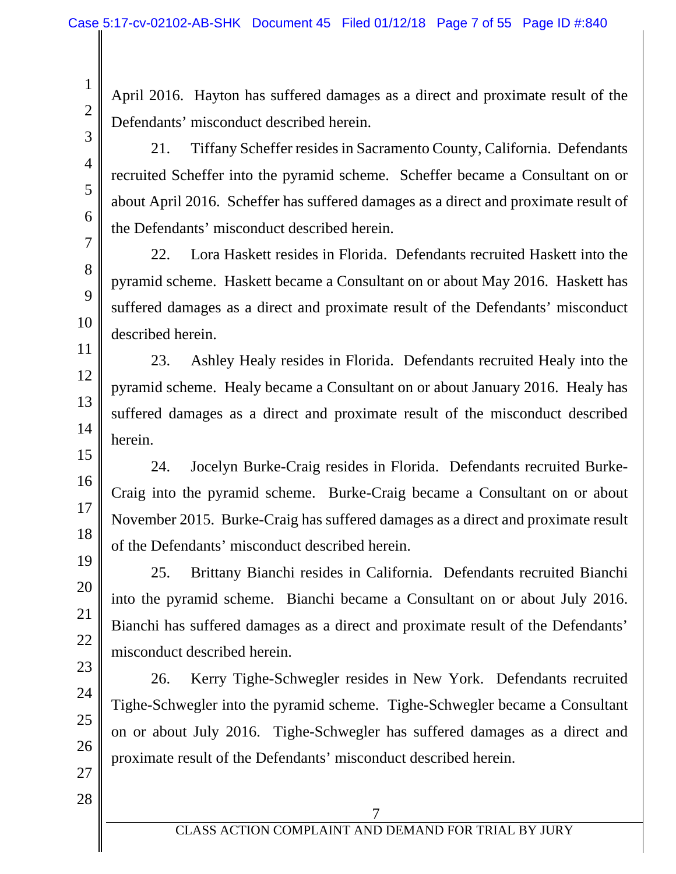April 2016. Hayton has suffered damages as a direct and proximate result of the Defendants' misconduct described herein.

21. Tiffany Scheffer resides in Sacramento County, California. Defendants recruited Scheffer into the pyramid scheme. Scheffer became a Consultant on or about April 2016. Scheffer has suffered damages as a direct and proximate result of the Defendants' misconduct described herein.

22. Lora Haskett resides in Florida. Defendants recruited Haskett into the pyramid scheme. Haskett became a Consultant on or about May 2016. Haskett has suffered damages as a direct and proximate result of the Defendants' misconduct described herein.

23. Ashley Healy resides in Florida. Defendants recruited Healy into the pyramid scheme. Healy became a Consultant on or about January 2016. Healy has suffered damages as a direct and proximate result of the misconduct described herein.

24. Jocelyn Burke-Craig resides in Florida. Defendants recruited Burke-Craig into the pyramid scheme. Burke-Craig became a Consultant on or about November 2015. Burke-Craig has suffered damages as a direct and proximate result of the Defendants' misconduct described herein.

25. Brittany Bianchi resides in California. Defendants recruited Bianchi into the pyramid scheme. Bianchi became a Consultant on or about July 2016. Bianchi has suffered damages as a direct and proximate result of the Defendants' misconduct described herein.

26. Kerry Tighe-Schwegler resides in New York. Defendants recruited Tighe-Schwegler into the pyramid scheme. Tighe-Schwegler became a Consultant on or about July 2016. Tighe-Schwegler has suffered damages as a direct and proximate result of the Defendants' misconduct described herein.

27 28

1

2

3

4

5

6

7

8

9

10

11

12

13

14

15

16

17

18

19

20

21

22

23

24

25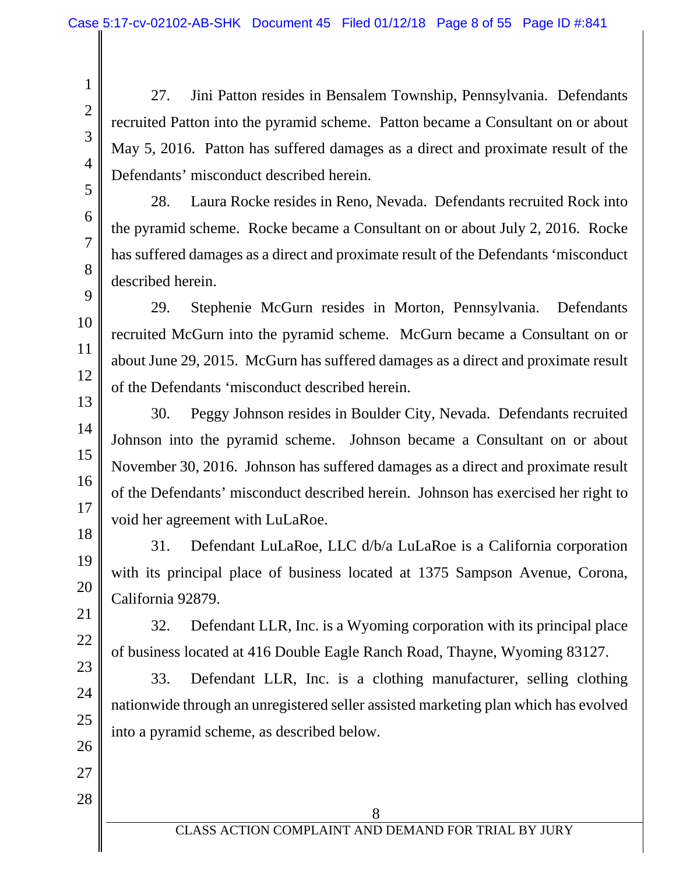27. Jini Patton resides in Bensalem Township, Pennsylvania. Defendants recruited Patton into the pyramid scheme. Patton became a Consultant on or about May 5, 2016. Patton has suffered damages as a direct and proximate result of the Defendants' misconduct described herein.

5 6 7

8

9

10

11

1

2

3

4

28. Laura Rocke resides in Reno, Nevada. Defendants recruited Rock into the pyramid scheme. Rocke became a Consultant on or about July 2, 2016. Rocke has suffered damages as a direct and proximate result of the Defendants 'misconduct described herein.

29. Stephenie McGurn resides in Morton, Pennsylvania. Defendants recruited McGurn into the pyramid scheme. McGurn became a Consultant on or about June 29, 2015. McGurn has suffered damages as a direct and proximate result of the Defendants 'misconduct described herein.

30. Peggy Johnson resides in Boulder City, Nevada. Defendants recruited Johnson into the pyramid scheme. Johnson became a Consultant on or about November 30, 2016. Johnson has suffered damages as a direct and proximate result of the Defendants' misconduct described herein. Johnson has exercised her right to void her agreement with LuLaRoe.

31. Defendant LuLaRoe, LLC d/b/a LuLaRoe is a California corporation with its principal place of business located at 1375 Sampson Avenue, Corona, California 92879.

32. Defendant LLR, Inc. is a Wyoming corporation with its principal place of business located at 416 Double Eagle Ranch Road, Thayne, Wyoming 83127.

33. Defendant LLR, Inc. is a clothing manufacturer, selling clothing nationwide through an unregistered seller assisted marketing plan which has evolved into a pyramid scheme, as described below.

> 8 CLASS ACTION COMPLAINT AND DEMAND FOR TRIAL BY JURY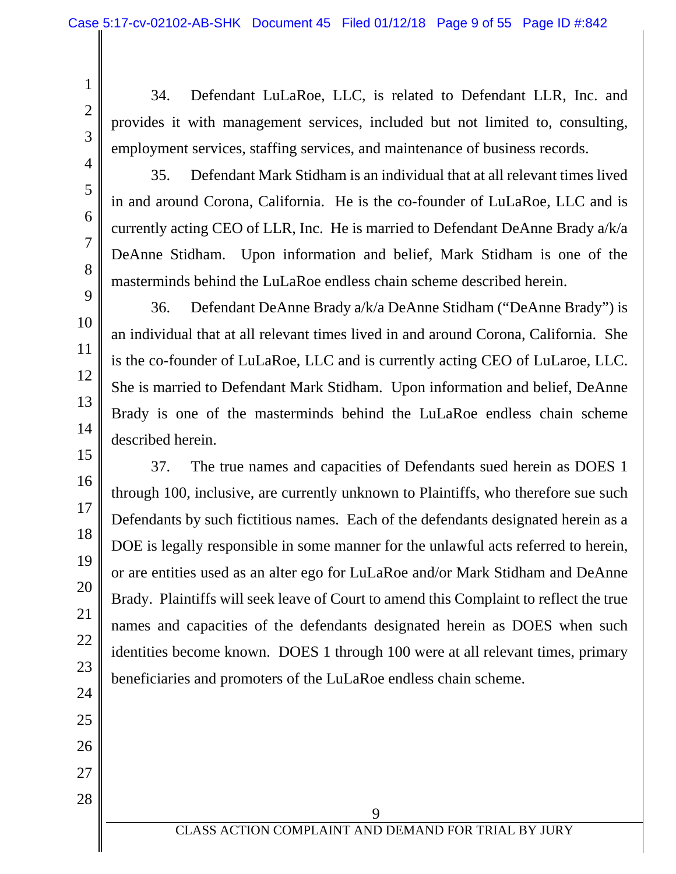4

5

6

7

8

9

10

11

12

13

14

15

16

17

18

19

20

21

22

23

24

25

26

27

28

1

34. Defendant LuLaRoe, LLC, is related to Defendant LLR, Inc. and provides it with management services, included but not limited to, consulting, employment services, staffing services, and maintenance of business records.

35. Defendant Mark Stidham is an individual that at all relevant times lived in and around Corona, California. He is the co-founder of LuLaRoe, LLC and is currently acting CEO of LLR, Inc. He is married to Defendant DeAnne Brady a/k/a DeAnne Stidham. Upon information and belief, Mark Stidham is one of the masterminds behind the LuLaRoe endless chain scheme described herein.

36. Defendant DeAnne Brady a/k/a DeAnne Stidham ("DeAnne Brady") is an individual that at all relevant times lived in and around Corona, California. She is the co-founder of LuLaRoe, LLC and is currently acting CEO of LuLaroe, LLC. She is married to Defendant Mark Stidham. Upon information and belief, DeAnne Brady is one of the masterminds behind the LuLaRoe endless chain scheme described herein.

37. The true names and capacities of Defendants sued herein as DOES 1 through 100, inclusive, are currently unknown to Plaintiffs, who therefore sue such Defendants by such fictitious names. Each of the defendants designated herein as a DOE is legally responsible in some manner for the unlawful acts referred to herein, or are entities used as an alter ego for LuLaRoe and/or Mark Stidham and DeAnne Brady. Plaintiffs will seek leave of Court to amend this Complaint to reflect the true names and capacities of the defendants designated herein as DOES when such identities become known. DOES 1 through 100 were at all relevant times, primary beneficiaries and promoters of the LuLaRoe endless chain scheme.

> 9 CLASS ACTION COMPLAINT AND DEMAND FOR TRIAL BY JURY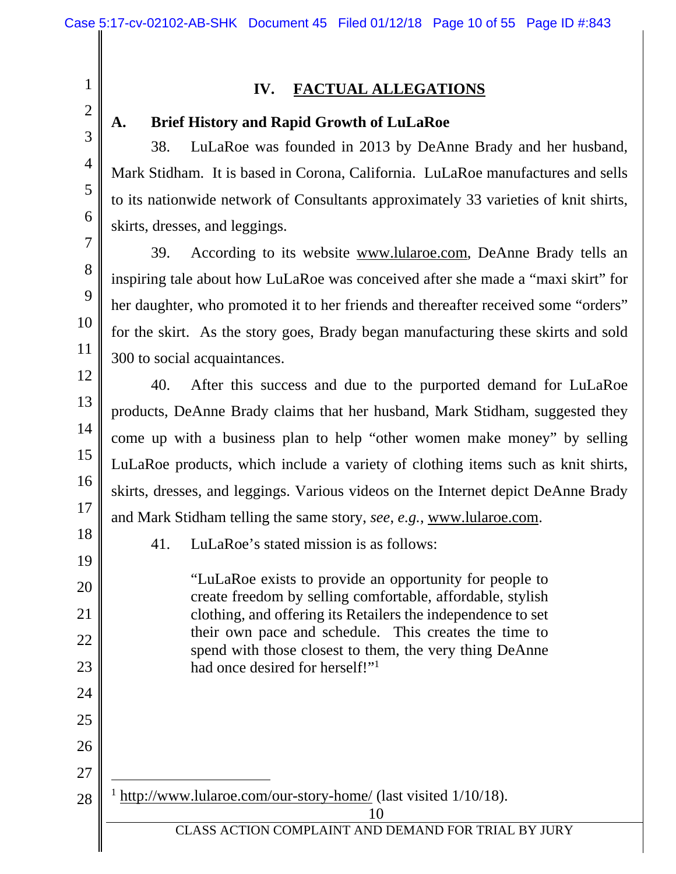# 1 2 3 4 5 6

7

8

9

10

11

12

13

14

15

16

17

# **IV. FACTUAL ALLEGATIONS**

### **A. Brief History and Rapid Growth of LuLaRoe**

38. LuLaRoe was founded in 2013 by DeAnne Brady and her husband, Mark Stidham. It is based in Corona, California. LuLaRoe manufactures and sells to its nationwide network of Consultants approximately 33 varieties of knit shirts, skirts, dresses, and leggings.

39. According to its website www.lularoe.com, DeAnne Brady tells an inspiring tale about how LuLaRoe was conceived after she made a "maxi skirt" for her daughter, who promoted it to her friends and thereafter received some "orders" for the skirt. As the story goes, Brady began manufacturing these skirts and sold 300 to social acquaintances.

40. After this success and due to the purported demand for LuLaRoe products, DeAnne Brady claims that her husband, Mark Stidham, suggested they come up with a business plan to help "other women make money" by selling LuLaRoe products, which include a variety of clothing items such as knit shirts, skirts, dresses, and leggings. Various videos on the Internet depict DeAnne Brady and Mark Stidham telling the same story, *see*, *e.g.*, www.lularoe.com.

18 19

20

21

22

23

24

25

26

27

 $\overline{a}$ 

28

41. LuLaRoe's stated mission is as follows:

"LuLaRoe exists to provide an opportunity for people to create freedom by selling comfortable, affordable, stylish clothing, and offering its Retailers the independence to set their own pace and schedule. This creates the time to spend with those closest to them, the very thing DeAnne had once desired for herself!"<sup>1</sup>

<sup>1</sup> http://www.lularoe.com/our-story-home/ (last visited 1/10/18).

CLASS ACTION COMPLAINT AND DEMAND FOR TRIAL BY JURY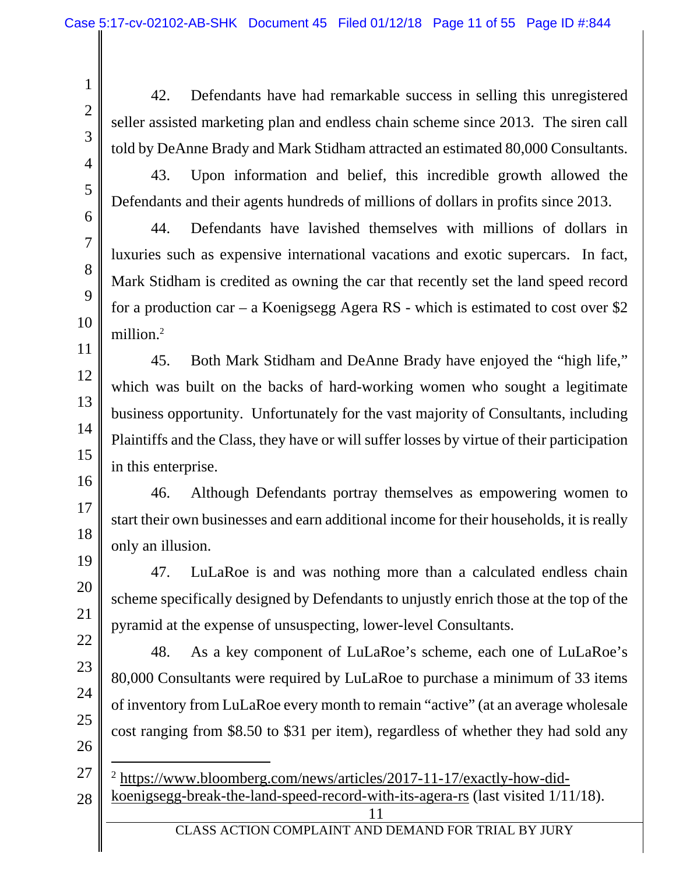1

42. Defendants have had remarkable success in selling this unregistered seller assisted marketing plan and endless chain scheme since 2013. The siren call told by DeAnne Brady and Mark Stidham attracted an estimated 80,000 Consultants.

4

5

6

7

8

9

10

11

43. Upon information and belief, this incredible growth allowed the Defendants and their agents hundreds of millions of dollars in profits since 2013.

44. Defendants have lavished themselves with millions of dollars in luxuries such as expensive international vacations and exotic supercars. In fact, Mark Stidham is credited as owning the car that recently set the land speed record for a production car – a Koenigsegg Agera RS - which is estimated to cost over \$2 million.<sup>2</sup>

45. Both Mark Stidham and DeAnne Brady have enjoyed the "high life," which was built on the backs of hard-working women who sought a legitimate business opportunity. Unfortunately for the vast majority of Consultants, including Plaintiffs and the Class, they have or will suffer losses by virtue of their participation in this enterprise.

46. Although Defendants portray themselves as empowering women to start their own businesses and earn additional income for their households, it is really only an illusion.

47. LuLaRoe is and was nothing more than a calculated endless chain scheme specifically designed by Defendants to unjustly enrich those at the top of the pyramid at the expense of unsuspecting, lower-level Consultants.

48. As a key component of LuLaRoe's scheme, each one of LuLaRoe's 80,000 Consultants were required by LuLaRoe to purchase a minimum of 33 items of inventory from LuLaRoe every month to remain "active" (at an average wholesale cost ranging from \$8.50 to \$31 per item), regardless of whether they had sold any

- $\overline{a}$ <sup>2</sup> https://www.bloomberg.com/news/articles/2017-11-17/exactly-how-did-
- 11 28 koenigsegg-break-the-land-speed-record-with-its-agera-rs (last visited 1/11/18).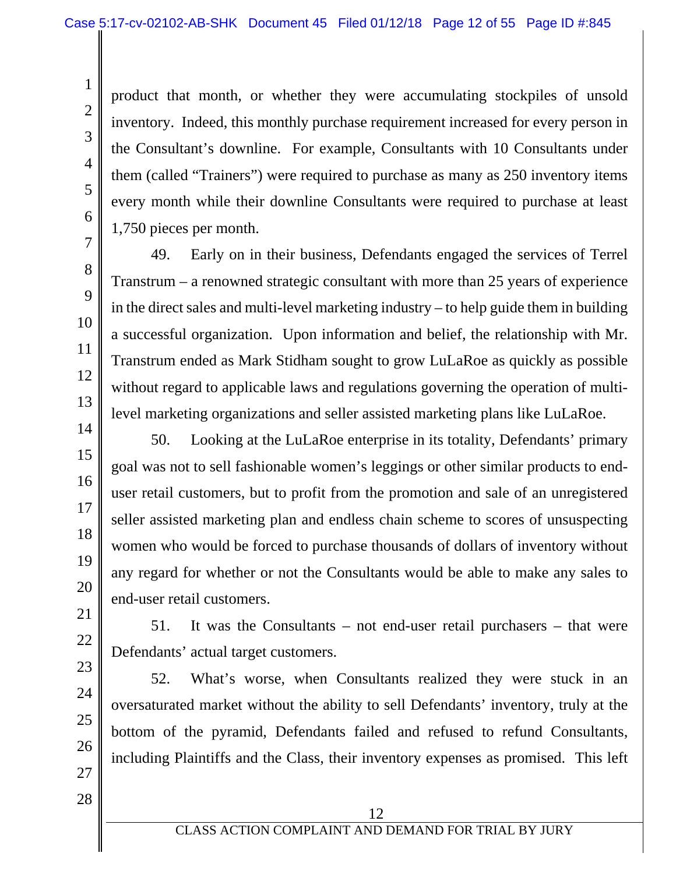product that month, or whether they were accumulating stockpiles of unsold inventory. Indeed, this monthly purchase requirement increased for every person in the Consultant's downline. For example, Consultants with 10 Consultants under them (called "Trainers") were required to purchase as many as 250 inventory items every month while their downline Consultants were required to purchase at least 1,750 pieces per month.

49. Early on in their business, Defendants engaged the services of Terrel Transtrum – a renowned strategic consultant with more than 25 years of experience in the direct sales and multi-level marketing industry – to help guide them in building a successful organization. Upon information and belief, the relationship with Mr. Transtrum ended as Mark Stidham sought to grow LuLaRoe as quickly as possible without regard to applicable laws and regulations governing the operation of multilevel marketing organizations and seller assisted marketing plans like LuLaRoe.

50. Looking at the LuLaRoe enterprise in its totality, Defendants' primary goal was not to sell fashionable women's leggings or other similar products to enduser retail customers, but to profit from the promotion and sale of an unregistered seller assisted marketing plan and endless chain scheme to scores of unsuspecting women who would be forced to purchase thousands of dollars of inventory without any regard for whether or not the Consultants would be able to make any sales to end-user retail customers.

51. It was the Consultants – not end-user retail purchasers – that were Defendants' actual target customers.

52. What's worse, when Consultants realized they were stuck in an oversaturated market without the ability to sell Defendants' inventory, truly at the bottom of the pyramid, Defendants failed and refused to refund Consultants, including Plaintiffs and the Class, their inventory expenses as promised. This left

27 28

1

2

3

4

5

6

7

8

9

10

11

12

13

14

15

16

17

18

19

20

21

22

23

24

25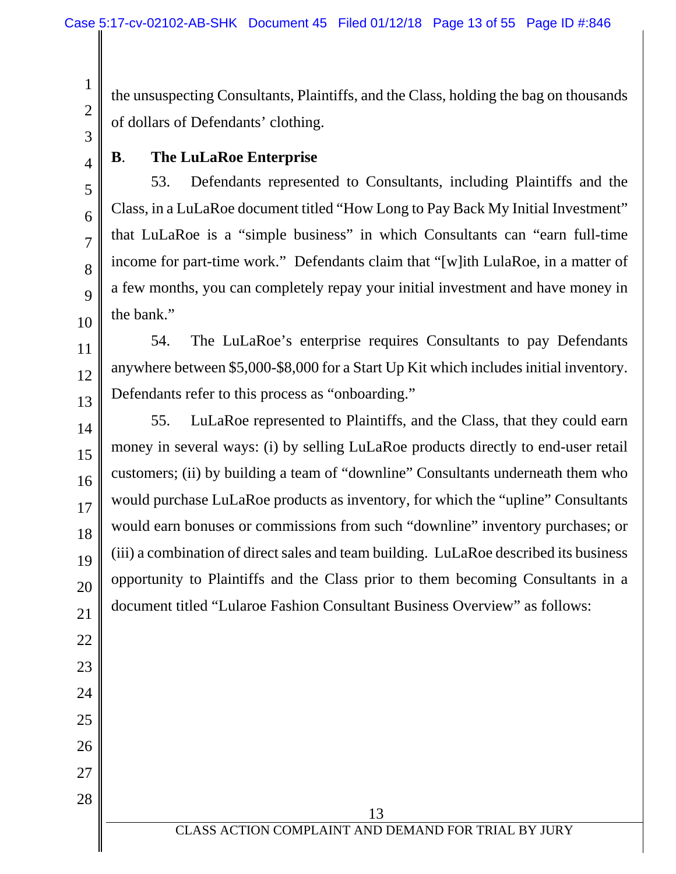the unsuspecting Consultants, Plaintiffs, and the Class, holding the bag on thousands of dollars of Defendants' clothing.

3 4

5

6

7

8

9

10

11

12

13

22

23

24

25

26

27

28

1

2

# **B**. **The LuLaRoe Enterprise**

53. Defendants represented to Consultants, including Plaintiffs and the Class, in a LuLaRoe document titled "How Long to Pay Back My Initial Investment" that LuLaRoe is a "simple business" in which Consultants can "earn full-time income for part-time work." Defendants claim that "[w]ith LulaRoe, in a matter of a few months, you can completely repay your initial investment and have money in the bank."

54. The LuLaRoe's enterprise requires Consultants to pay Defendants anywhere between \$5,000-\$8,000 for a Start Up Kit which includes initial inventory. Defendants refer to this process as "onboarding."

14 15 16 17 18 19 20 21 55. LuLaRoe represented to Plaintiffs, and the Class, that they could earn money in several ways: (i) by selling LuLaRoe products directly to end-user retail customers; (ii) by building a team of "downline" Consultants underneath them who would purchase LuLaRoe products as inventory, for which the "upline" Consultants would earn bonuses or commissions from such "downline" inventory purchases; or (iii) a combination of direct sales and team building. LuLaRoe described its business opportunity to Plaintiffs and the Class prior to them becoming Consultants in a document titled "Lularoe Fashion Consultant Business Overview" as follows: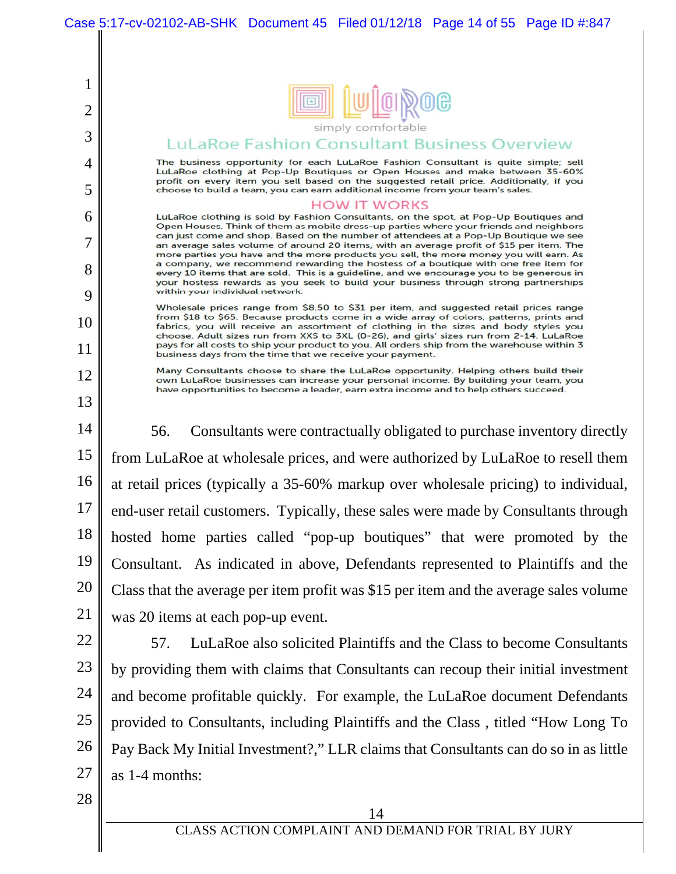

#### LuLaRoe Fashion Consultant Business Overview

The business opportunity for each LuLaRoe Fashion Consultant is quite simple; sell LuLaRoe clothing at Pop-Up Boutiques or Open Houses and make between 35-60% profit on every item you sell based on the suggested retail price. Additionally, if you choose to build a team, you can earn additional income from your team's sales.

#### **HOW IT WORKS**

LuLaRoe clothing is sold by Fashion Consultants, on the spot, at Pop-Up Boutiques and Open Houses. Think of them as mobile dress-up parties where your friends and neighbors can just come and shop. Based on the number of attendees at a Pop-Up Boutique we see an average sales volume of around 20 items, with an average profit of \$15 per item. The more parties you have and the more products you sell, the more money you will earn. As a company, we recommend rewarding the hostess of a boutique with one free item for every 10 items that are sold. This is a guideline, and we encourage you to be generous in your hostess rewards as you seek to build your business through strong partnerships within your individual network.

Wholesale prices range from \$8.50 to \$31 per item, and suggested retail prices range from \$18 to \$65. Because products come in a wide array of colors, patterns, prints and fabrics, you will receive an assortment of clothing in the sizes and body styles you choose. Adult sizes run from XXS to 3XL (0-26), and girls' sizes run from 2-14. LuLaRoe pays for all costs to ship your product to you. All orders ship from the warehouse within 3 business days from the time that we receive your payment.

Many Consultants choose to share the LuLaRoe opportunity. Helping others build their own LuLaRoe businesses can increase your personal income. By building your team, you have opportunities to become a leader, earn extra income and to help others succeed.

14 15 16 17 18 19 20 21 56. Consultants were contractually obligated to purchase inventory directly from LuLaRoe at wholesale prices, and were authorized by LuLaRoe to resell them at retail prices (typically a 35-60% markup over wholesale pricing) to individual, end-user retail customers. Typically, these sales were made by Consultants through hosted home parties called "pop-up boutiques" that were promoted by the Consultant. As indicated in above, Defendants represented to Plaintiffs and the Class that the average per item profit was \$15 per item and the average sales volume was 20 items at each pop-up event.

22

1

2

3

4

5

6

7

8

9

10

11

12

13

23 24 25 26 27 57. LuLaRoe also solicited Plaintiffs and the Class to become Consultants by providing them with claims that Consultants can recoup their initial investment and become profitable quickly. For example, the LuLaRoe document Defendants provided to Consultants, including Plaintiffs and the Class , titled "How Long To Pay Back My Initial Investment?," LLR claims that Consultants can do so in as little as 1-4 months: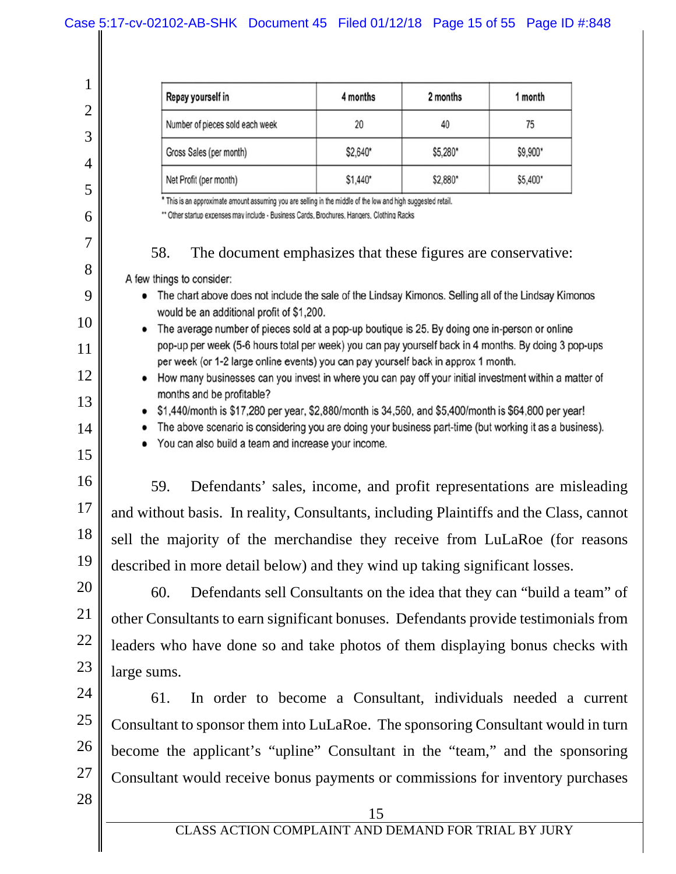| Repay yourself in               | 4 months | 2 months | 1 month  |
|---------------------------------|----------|----------|----------|
| Number of pieces sold each week | 20       | 40       | 75       |
| Gross Sales (per month)         | \$2,640* | \$5,280* | \$9,900* |
| Net Profit (per month)          | \$1,440* | \$2,880* | \$5,400* |

\* This is an approximate amount assuming you are selling in the middle of the low and high suggested retail.

\*\* Other startup expenses may include - Business Cards, Brochures, Hangers, Clothing Racks

#### 58. The document emphasizes that these figures are conservative:

A few things to consider:

1

2

3

4

5

6

7

8

9

10

11

12

13

14

15

- The chart above does not include the sale of the Lindsay Kimonos. Selling all of the Lindsay Kimonos would be an additional profit of \$1,200.
- The average number of pieces sold at a pop-up boutique is 25. By doing one in-person or online pop-up per week (5-6 hours total per week) you can pay yourself back in 4 months. By doing 3 pop-ups per week (or 1-2 large online events) you can pay yourself back in approx 1 month.
	- How many businesses can you invest in where you can pay off your initial investment within a matter of months and be profitable?
		- $$1,440/m$  onth is \$17,280 per year, \$2,880/month is 34,560, and \$5,400/month is \$64,800 per year!
		- The above scenario is considering you are doing your business part-time (but working it as a business).
			- You can also build a team and increase your income.
- 16 17 18 19 59. Defendants' sales, income, and profit representations are misleading and without basis. In reality, Consultants, including Plaintiffs and the Class, cannot sell the majority of the merchandise they receive from LuLaRoe (for reasons described in more detail below) and they wind up taking significant losses.

20 21 22 23 60. Defendants sell Consultants on the idea that they can "build a team" of other Consultants to earn significant bonuses. Defendants provide testimonials from leaders who have done so and take photos of them displaying bonus checks with large sums.

24 25 26 27 61. In order to become a Consultant, individuals needed a current Consultant to sponsor them into LuLaRoe. The sponsoring Consultant would in turn become the applicant's "upline" Consultant in the "team," and the sponsoring Consultant would receive bonus payments or commissions for inventory purchases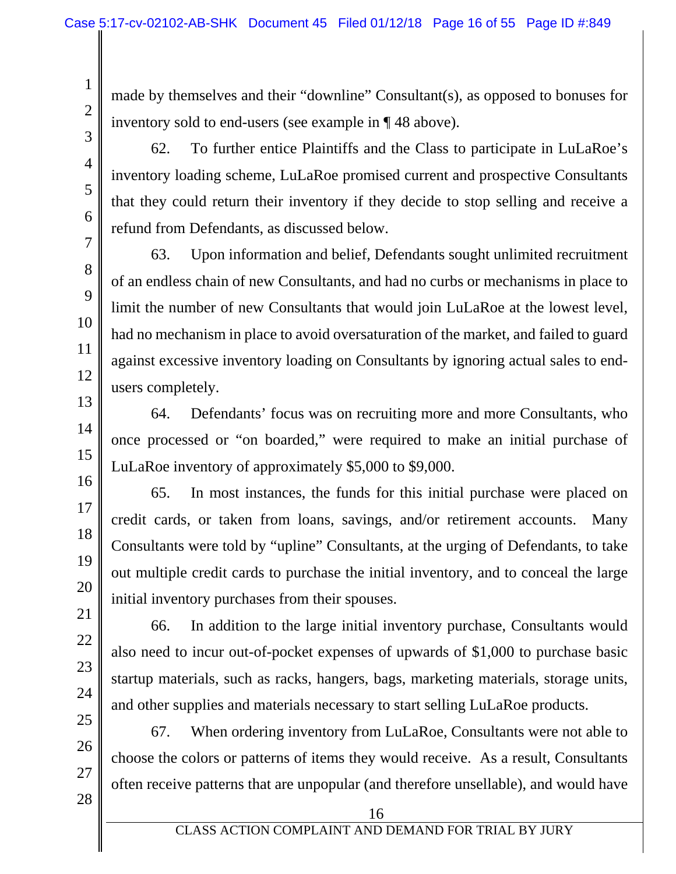made by themselves and their "downline" Consultant(s), as opposed to bonuses for inventory sold to end-users (see example in ¶ 48 above).

62. To further entice Plaintiffs and the Class to participate in LuLaRoe's inventory loading scheme, LuLaRoe promised current and prospective Consultants that they could return their inventory if they decide to stop selling and receive a refund from Defendants, as discussed below.

63. Upon information and belief, Defendants sought unlimited recruitment of an endless chain of new Consultants, and had no curbs or mechanisms in place to limit the number of new Consultants that would join LuLaRoe at the lowest level, had no mechanism in place to avoid oversaturation of the market, and failed to guard against excessive inventory loading on Consultants by ignoring actual sales to endusers completely.

64. Defendants' focus was on recruiting more and more Consultants, who once processed or "on boarded," were required to make an initial purchase of LuLaRoe inventory of approximately \$5,000 to \$9,000.

65. In most instances, the funds for this initial purchase were placed on credit cards, or taken from loans, savings, and/or retirement accounts. Many Consultants were told by "upline" Consultants, at the urging of Defendants, to take out multiple credit cards to purchase the initial inventory, and to conceal the large initial inventory purchases from their spouses.

66. In addition to the large initial inventory purchase, Consultants would also need to incur out-of-pocket expenses of upwards of \$1,000 to purchase basic startup materials, such as racks, hangers, bags, marketing materials, storage units, and other supplies and materials necessary to start selling LuLaRoe products.

67. When ordering inventory from LuLaRoe, Consultants were not able to choose the colors or patterns of items they would receive. As a result, Consultants often receive patterns that are unpopular (and therefore unsellable), and would have

19

20

21

22

23

24

25

26

1

2

3

4

5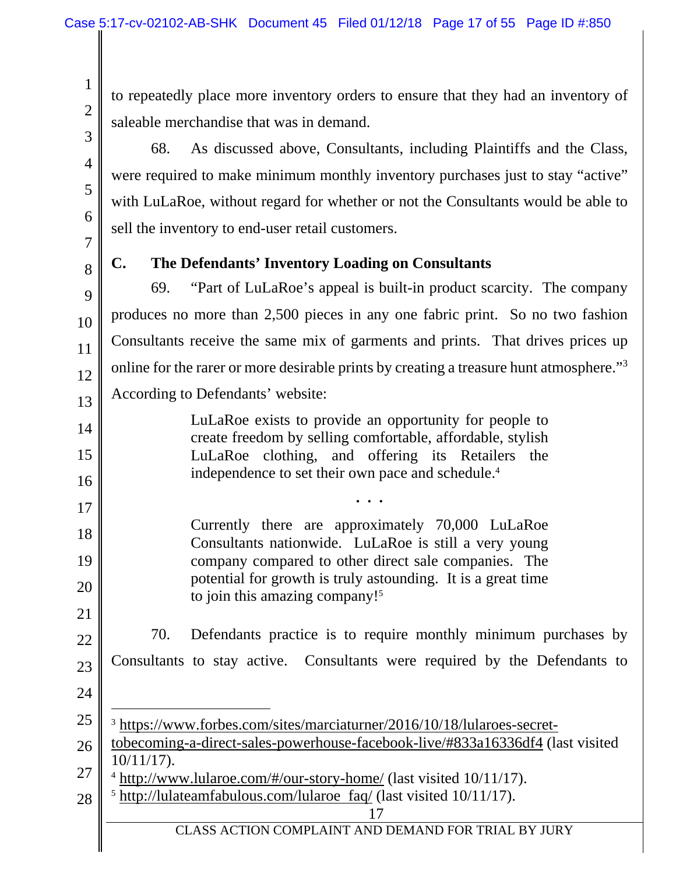to repeatedly place more inventory orders to ensure that they had an inventory of saleable merchandise that was in demand.

68. As discussed above, Consultants, including Plaintiffs and the Class, were required to make minimum monthly inventory purchases just to stay "active" with LuLaRoe, without regard for whether or not the Consultants would be able to sell the inventory to end-user retail customers.

7 8

9

10

11

14

15

16

17

18

19

20

21

1

2

3

4

5

6

# **C. The Defendants' Inventory Loading on Consultants**

12 13 69. "Part of LuLaRoe's appeal is built-in product scarcity. The company produces no more than 2,500 pieces in any one fabric print. So no two fashion Consultants receive the same mix of garments and prints. That drives prices up online for the rarer or more desirable prints by creating a treasure hunt atmosphere."<sup>3</sup> According to Defendants' website:

LuLaRoe exists to provide an opportunity for people to create freedom by selling comfortable, affordable, stylish LuLaRoe clothing, and offering its Retailers the independence to set their own pace and schedule.<sup>4</sup>

**. . .** 

Currently there are approximately 70,000 LuLaRoe Consultants nationwide. LuLaRoe is still a very young company compared to other direct sale companies. The potential for growth is truly astounding. It is a great time to join this amazing company!5

- 22 23 70. Defendants practice is to require monthly minimum purchases by Consultants to stay active. Consultants were required by the Defendants to
- 24

l

- 25 <sup>3</sup> https://www.forbes.com/sites/marciaturner/2016/10/18/lularoes-secret-
- 26 tobecoming-a-direct-sales-powerhouse-facebook-live/#833a16336df4 (last visited 10/11/17).
- 27 <sup>4</sup> http://www.lularoe.com/#/our-story-home/ (last visited 10/11/17).
- 17 CLASS ACTION COMPLAINT AND DEMAND FOR TRIAL BY JURY 28  $5 \frac{\text{http://lulateamfabulous.com/lularoe~faq/}}{\text{(last visited 10/11/17)}}$ .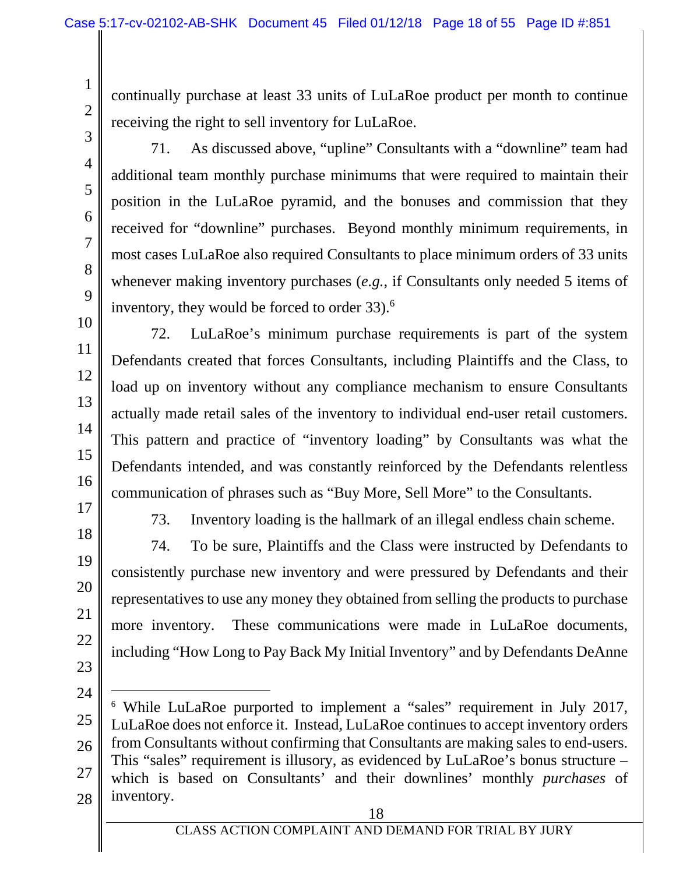continually purchase at least 33 units of LuLaRoe product per month to continue receiving the right to sell inventory for LuLaRoe.

3 4

5

6

7

8

9

1

2

71. As discussed above, "upline" Consultants with a "downline" team had additional team monthly purchase minimums that were required to maintain their position in the LuLaRoe pyramid, and the bonuses and commission that they received for "downline" purchases. Beyond monthly minimum requirements, in most cases LuLaRoe also required Consultants to place minimum orders of 33 units whenever making inventory purchases (*e.g.*, if Consultants only needed 5 items of inventory, they would be forced to order 33).<sup>6</sup>

10 11 12

13

14

15

16

72. LuLaRoe's minimum purchase requirements is part of the system Defendants created that forces Consultants, including Plaintiffs and the Class, to load up on inventory without any compliance mechanism to ensure Consultants actually made retail sales of the inventory to individual end-user retail customers. This pattern and practice of "inventory loading" by Consultants was what the Defendants intended, and was constantly reinforced by the Defendants relentless communication of phrases such as "Buy More, Sell More" to the Consultants.

17 18

19

20

21

22

73. Inventory loading is the hallmark of an illegal endless chain scheme.

74. To be sure, Plaintiffs and the Class were instructed by Defendants to consistently purchase new inventory and were pressured by Defendants and their representatives to use any money they obtained from selling the products to purchase more inventory. These communications were made in LuLaRoe documents, including "How Long to Pay Back My Initial Inventory" and by Defendants DeAnne

- 23
- 24

l

25 26 27 28 6 While LuLaRoe purported to implement a "sales" requirement in July 2017, LuLaRoe does not enforce it. Instead, LuLaRoe continues to accept inventory orders from Consultants without confirming that Consultants are making sales to end-users. This "sales" requirement is illusory, as evidenced by LuLaRoe's bonus structure – which is based on Consultants' and their downlines' monthly *purchases* of inventory.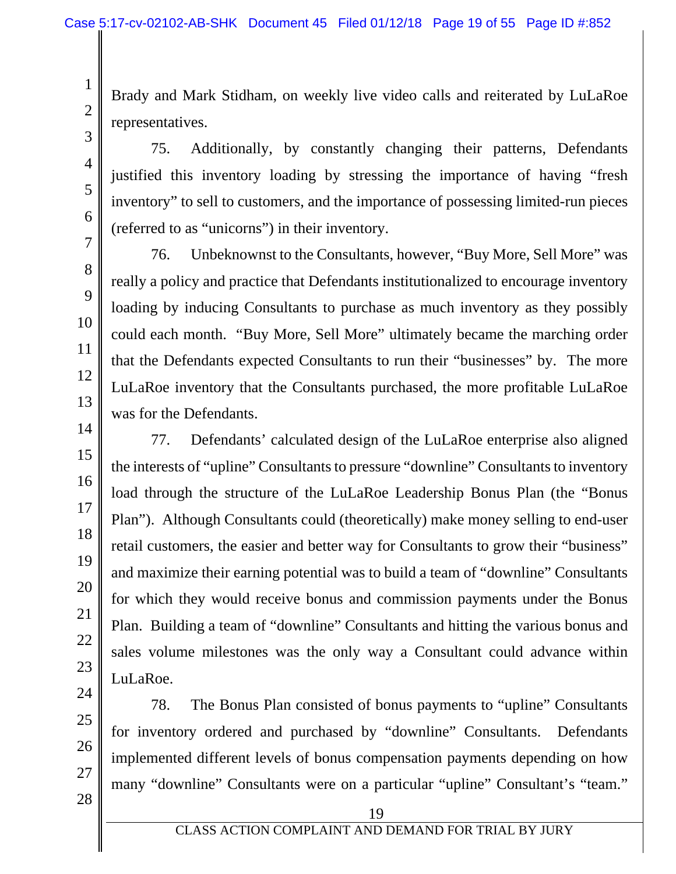Brady and Mark Stidham, on weekly live video calls and reiterated by LuLaRoe representatives.

75. Additionally, by constantly changing their patterns, Defendants justified this inventory loading by stressing the importance of having "fresh inventory" to sell to customers, and the importance of possessing limited-run pieces (referred to as "unicorns") in their inventory.

76. Unbeknownst to the Consultants, however, "Buy More, Sell More" was really a policy and practice that Defendants institutionalized to encourage inventory loading by inducing Consultants to purchase as much inventory as they possibly could each month. "Buy More, Sell More" ultimately became the marching order that the Defendants expected Consultants to run their "businesses" by. The more LuLaRoe inventory that the Consultants purchased, the more profitable LuLaRoe was for the Defendants.

77. Defendants' calculated design of the LuLaRoe enterprise also aligned the interests of "upline" Consultants to pressure "downline" Consultants to inventory load through the structure of the LuLaRoe Leadership Bonus Plan (the "Bonus Plan"). Although Consultants could (theoretically) make money selling to end-user retail customers, the easier and better way for Consultants to grow their "business" and maximize their earning potential was to build a team of "downline" Consultants for which they would receive bonus and commission payments under the Bonus Plan. Building a team of "downline" Consultants and hitting the various bonus and sales volume milestones was the only way a Consultant could advance within LuLaRoe.

78. The Bonus Plan consisted of bonus payments to "upline" Consultants for inventory ordered and purchased by "downline" Consultants. Defendants implemented different levels of bonus compensation payments depending on how many "downline" Consultants were on a particular "upline" Consultant's "team."

27

28

1

2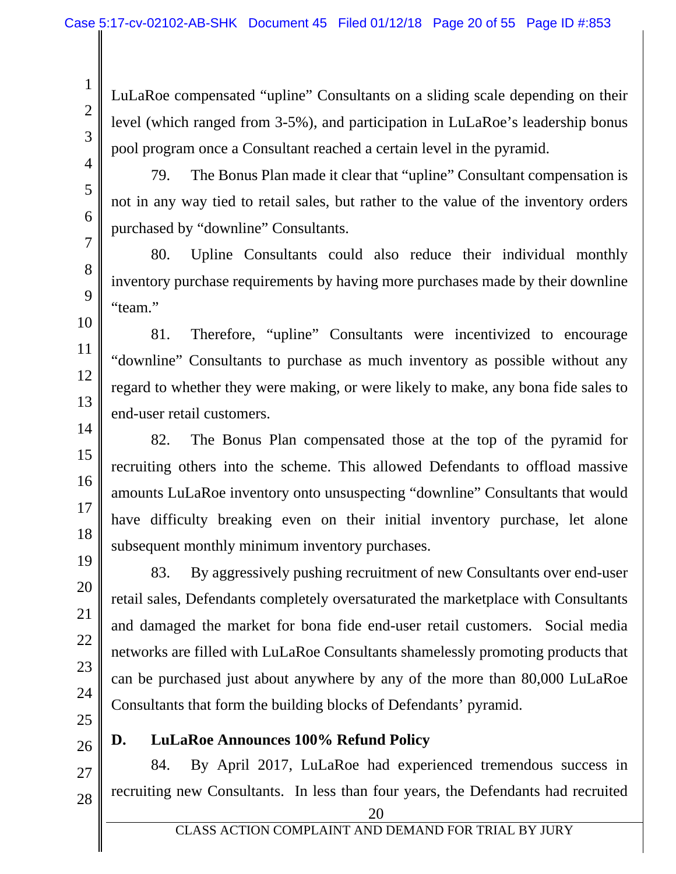LuLaRoe compensated "upline" Consultants on a sliding scale depending on their level (which ranged from 3-5%), and participation in LuLaRoe's leadership bonus pool program once a Consultant reached a certain level in the pyramid.

4 5

6

7

8

9

10

11

12

13

14

15

16

17

18

19

20

21

22

1

2

3

79. The Bonus Plan made it clear that "upline" Consultant compensation is not in any way tied to retail sales, but rather to the value of the inventory orders purchased by "downline" Consultants.

80. Upline Consultants could also reduce their individual monthly inventory purchase requirements by having more purchases made by their downline "team."

81. Therefore, "upline" Consultants were incentivized to encourage "downline" Consultants to purchase as much inventory as possible without any regard to whether they were making, or were likely to make, any bona fide sales to end-user retail customers.

82. The Bonus Plan compensated those at the top of the pyramid for recruiting others into the scheme. This allowed Defendants to offload massive amounts LuLaRoe inventory onto unsuspecting "downline" Consultants that would have difficulty breaking even on their initial inventory purchase, let alone subsequent monthly minimum inventory purchases.

83. By aggressively pushing recruitment of new Consultants over end-user retail sales, Defendants completely oversaturated the marketplace with Consultants and damaged the market for bona fide end-user retail customers. Social media networks are filled with LuLaRoe Consultants shamelessly promoting products that can be purchased just about anywhere by any of the more than 80,000 LuLaRoe Consultants that form the building blocks of Defendants' pyramid.

26

## **D. LuLaRoe Announces 100% Refund Policy**

84. By April 2017, LuLaRoe had experienced tremendous success in recruiting new Consultants. In less than four years, the Defendants had recruited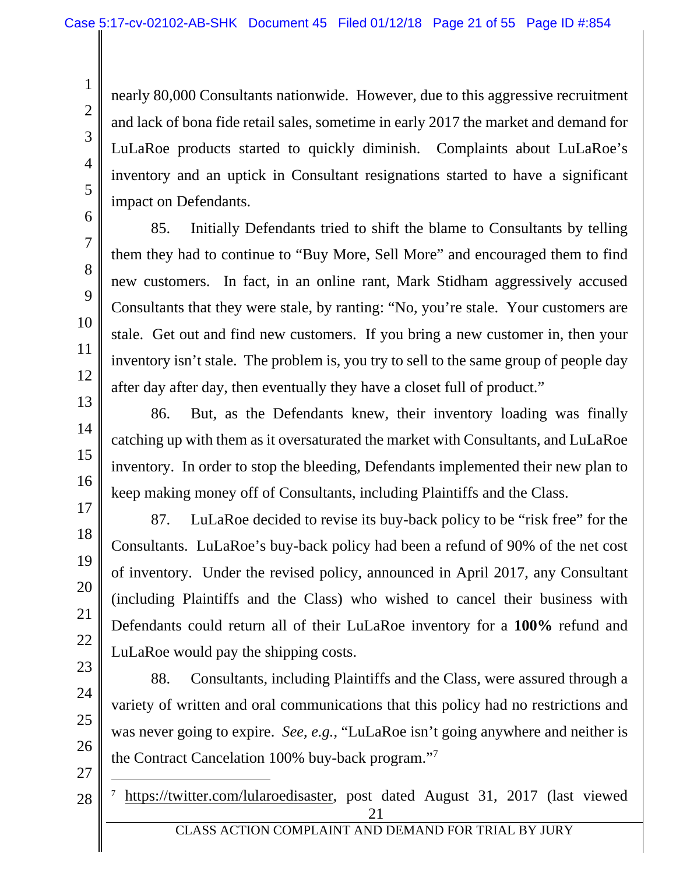nearly 80,000 Consultants nationwide. However, due to this aggressive recruitment and lack of bona fide retail sales, sometime in early 2017 the market and demand for LuLaRoe products started to quickly diminish. Complaints about LuLaRoe's inventory and an uptick in Consultant resignations started to have a significant impact on Defendants.

6 7 8

9

10

11

12

13

14

15

16

17

18

19

20

21

22

23

24

25

26

1

2

3

4

5

85. Initially Defendants tried to shift the blame to Consultants by telling them they had to continue to "Buy More, Sell More" and encouraged them to find new customers. In fact, in an online rant, Mark Stidham aggressively accused Consultants that they were stale, by ranting: "No, you're stale. Your customers are stale. Get out and find new customers. If you bring a new customer in, then your inventory isn't stale. The problem is, you try to sell to the same group of people day after day after day, then eventually they have a closet full of product."

86. But, as the Defendants knew, their inventory loading was finally catching up with them as it oversaturated the market with Consultants, and LuLaRoe inventory. In order to stop the bleeding, Defendants implemented their new plan to keep making money off of Consultants, including Plaintiffs and the Class.

87. LuLaRoe decided to revise its buy-back policy to be "risk free" for the Consultants. LuLaRoe's buy-back policy had been a refund of 90% of the net cost of inventory. Under the revised policy, announced in April 2017, any Consultant (including Plaintiffs and the Class) who wished to cancel their business with Defendants could return all of their LuLaRoe inventory for a **100%** refund and LuLaRoe would pay the shipping costs.

88. Consultants, including Plaintiffs and the Class, were assured through a variety of written and oral communications that this policy had no restrictions and was never going to expire. *See*, *e.g.*, "LuLaRoe isn't going anywhere and neither is the Contract Cancelation 100% buy-back program."

27

 $\overline{a}$ 

28

21 <sup>7</sup> https://twitter.com/lularoedisaster, post dated August 31, 2017 (last viewed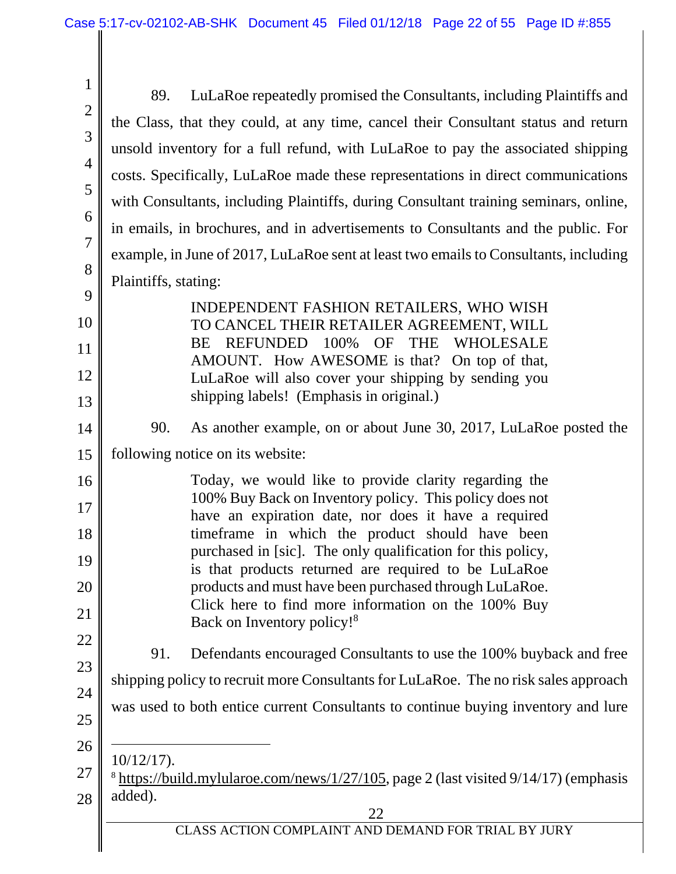| $\mathbf{1}$   |                                                                                                                       |
|----------------|-----------------------------------------------------------------------------------------------------------------------|
| $\mathbf{2}$   | LuLaRoe repeatedly promised the Consultants, including Plaintiffs and<br>89.                                          |
| 3              | the Class, that they could, at any time, cancel their Consultant status and return                                    |
| $\overline{4}$ | unsold inventory for a full refund, with LuLaRoe to pay the associated shipping                                       |
|                | costs. Specifically, LuLaRoe made these representations in direct communications                                      |
| 5              | with Consultants, including Plaintiffs, during Consultant training seminars, online,                                  |
| 6              | in emails, in brochures, and in advertisements to Consultants and the public. For                                     |
| $\overline{7}$ | example, in June of 2017, LuLaRoe sent at least two emails to Consultants, including                                  |
| 8              | Plaintiffs, stating:                                                                                                  |
| 9              | INDEPENDENT FASHION RETAILERS, WHO WISH                                                                               |
| 10             | TO CANCEL THEIR RETAILER AGREEMENT, WILL                                                                              |
| 11             | 100%<br><b>OF</b><br><b>THE</b><br><b>REFUNDED</b><br>WHOLESALE<br>BE<br>AMOUNT. How AWESOME is that? On top of that, |
| 12             | LuLaRoe will also cover your shipping by sending you                                                                  |
| 13             | shipping labels! (Emphasis in original.)                                                                              |
| 14             | 90.<br>As another example, on or about June 30, 2017, LuLaRoe posted the                                              |
| 15             | following notice on its website:                                                                                      |
| 16             | Today, we would like to provide clarity regarding the                                                                 |
| 17             | 100% Buy Back on Inventory policy. This policy does not<br>have an expiration date, nor does it have a required       |
| 18             | timeframe in which the product should have been                                                                       |
| 19             | purchased in [sic]. The only qualification for this policy,<br>is that products returned are required to be LuLaRoe   |
| 20             | products and must have been purchased through LuLaRoe.                                                                |
| 21             | Click here to find more information on the 100% Buy<br>Back on Inventory policy! <sup>8</sup>                         |
| <u>22</u>      | Defendants encouraged Consultants to use the 100% buyback and free<br>91.                                             |
| 23             | shipping policy to recruit more Consultants for LuLaRoe. The no risk sales approach                                   |
| 24             | was used to both entice current Consultants to continue buying inventory and lure                                     |
| 25             |                                                                                                                       |
| 26             | $10/12/17$ ).                                                                                                         |
| 27             | <sup>8</sup> https://build.mylularoe.com/news/1/27/105, page 2 (last visited 9/14/17) (emphasis                       |
| 28             | added).<br>22                                                                                                         |
|                | CLASS ACTION COMPLAINT AND DEMAND FOR TRIAL BY JURY                                                                   |
|                |                                                                                                                       |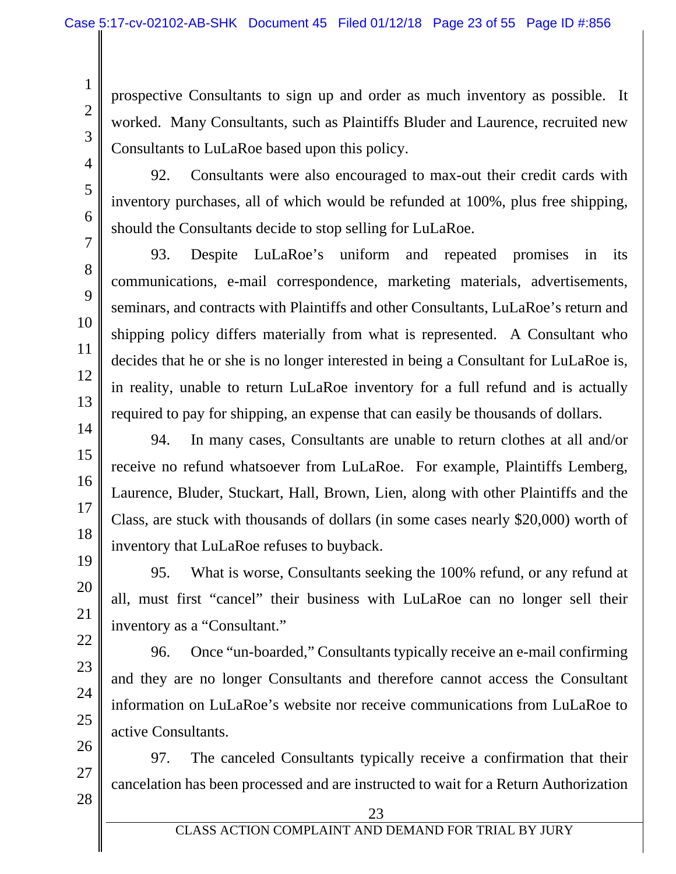prospective Consultants to sign up and order as much inventory as possible. It worked. Many Consultants, such as Plaintiffs Bluder and Laurence, recruited new Consultants to LuLaRoe based upon this policy.

4 5

6

7

8

9

10

11

12

13

14

15

16

17

18

19

20

21

22

23

24

25

1

2

3

92. Consultants were also encouraged to max-out their credit cards with inventory purchases, all of which would be refunded at 100%, plus free shipping, should the Consultants decide to stop selling for LuLaRoe.

93. Despite LuLaRoe's uniform and repeated promises in its communications, e-mail correspondence, marketing materials, advertisements, seminars, and contracts with Plaintiffs and other Consultants, LuLaRoe's return and shipping policy differs materially from what is represented. A Consultant who decides that he or she is no longer interested in being a Consultant for LuLaRoe is, in reality, unable to return LuLaRoe inventory for a full refund and is actually required to pay for shipping, an expense that can easily be thousands of dollars.

94. In many cases, Consultants are unable to return clothes at all and/or receive no refund whatsoever from LuLaRoe. For example, Plaintiffs Lemberg, Laurence, Bluder, Stuckart, Hall, Brown, Lien, along with other Plaintiffs and the Class, are stuck with thousands of dollars (in some cases nearly \$20,000) worth of inventory that LuLaRoe refuses to buyback.

95. What is worse, Consultants seeking the 100% refund, or any refund at all, must first "cancel" their business with LuLaRoe can no longer sell their inventory as a "Consultant."

96. Once "un-boarded," Consultants typically receive an e-mail confirming and they are no longer Consultants and therefore cannot access the Consultant information on LuLaRoe's website nor receive communications from LuLaRoe to active Consultants.

26 27 97. The canceled Consultants typically receive a confirmation that their cancelation has been processed and are instructed to wait for a Return Authorization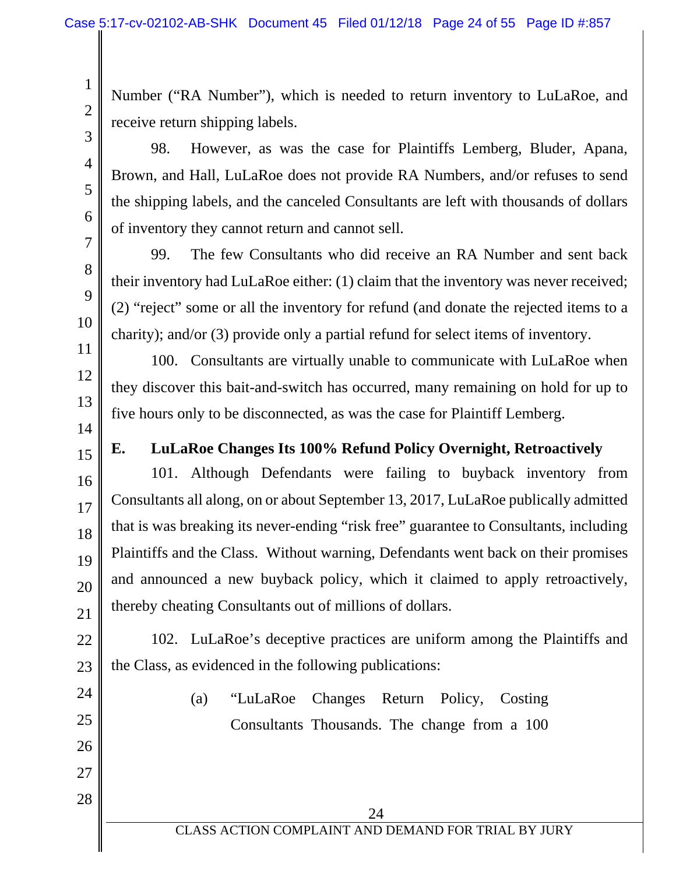Number ("RA Number"), which is needed to return inventory to LuLaRoe, and receive return shipping labels.

98. However, as was the case for Plaintiffs Lemberg, Bluder, Apana, Brown, and Hall, LuLaRoe does not provide RA Numbers, and/or refuses to send the shipping labels, and the canceled Consultants are left with thousands of dollars of inventory they cannot return and cannot sell.

99. The few Consultants who did receive an RA Number and sent back their inventory had LuLaRoe either: (1) claim that the inventory was never received; (2) "reject" some or all the inventory for refund (and donate the rejected items to a charity); and/or (3) provide only a partial refund for select items of inventory.

100. Consultants are virtually unable to communicate with LuLaRoe when they discover this bait-and-switch has occurred, many remaining on hold for up to five hours only to be disconnected, as was the case for Plaintiff Lemberg.

# **E. LuLaRoe Changes Its 100% Refund Policy Overnight, Retroactively**

101. Although Defendants were failing to buyback inventory from Consultants all along, on or about September 13, 2017, LuLaRoe publically admitted that is was breaking its never-ending "risk free" guarantee to Consultants, including Plaintiffs and the Class. Without warning, Defendants went back on their promises and announced a new buyback policy, which it claimed to apply retroactively, thereby cheating Consultants out of millions of dollars.

22 23 102. LuLaRoe's deceptive practices are uniform among the Plaintiffs and the Class, as evidenced in the following publications:

24 25

26

27

28

19

20

21

(a) "LuLaRoe Changes Return Policy, Costing Consultants Thousands. The change from a 100

1

2

3

4

5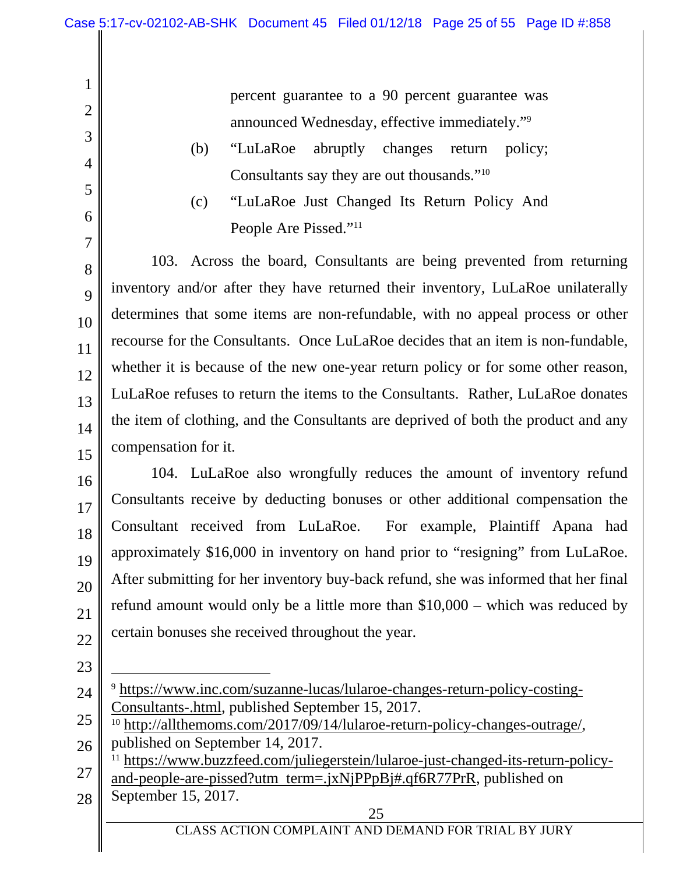percent guarantee to a 90 percent guarantee was announced Wednesday, effective immediately."9

- (b) "LuLaRoe abruptly changes return policy; Consultants say they are out thousands."10
- (c) "LuLaRoe Just Changed Its Return Policy And People Are Pissed."<sup>11</sup>

103. Across the board, Consultants are being prevented from returning inventory and/or after they have returned their inventory, LuLaRoe unilaterally determines that some items are non-refundable, with no appeal process or other recourse for the Consultants. Once LuLaRoe decides that an item is non-fundable, whether it is because of the new one-year return policy or for some other reason, LuLaRoe refuses to return the items to the Consultants. Rather, LuLaRoe donates the item of clothing, and the Consultants are deprived of both the product and any compensation for it.

16 17 18 19 20 21 22 104. LuLaRoe also wrongfully reduces the amount of inventory refund Consultants receive by deducting bonuses or other additional compensation the Consultant received from LuLaRoe. For example, Plaintiff Apana had approximately \$16,000 in inventory on hand prior to "resigning" from LuLaRoe. After submitting for her inventory buy-back refund, she was informed that her final refund amount would only be a little more than \$10,000 – which was reduced by certain bonuses she received throughout the year.

1

2

3

4

5

6

7

8

9

10

11

12

13

14

15

23

l

- 24 <sup>9</sup> https://www.inc.com/suzanne-lucas/lularoe-changes-return-policy-costing-Consultants-.html, published September 15, 2017.
- 25 26 10 http://allthemoms.com/2017/09/14/lularoe-return-policy-changes-outrage/, published on September 14, 2017.

27 11 https://www.buzzfeed.com/juliegerstein/lularoe-just-changed-its-return-policyand-people-are-pissed?utm term=.jxNjPPpBj#.qf6R77PrR, published on

28 September 15, 2017.

25

CLASS ACTION COMPLAINT AND DEMAND FOR TRIAL BY JURY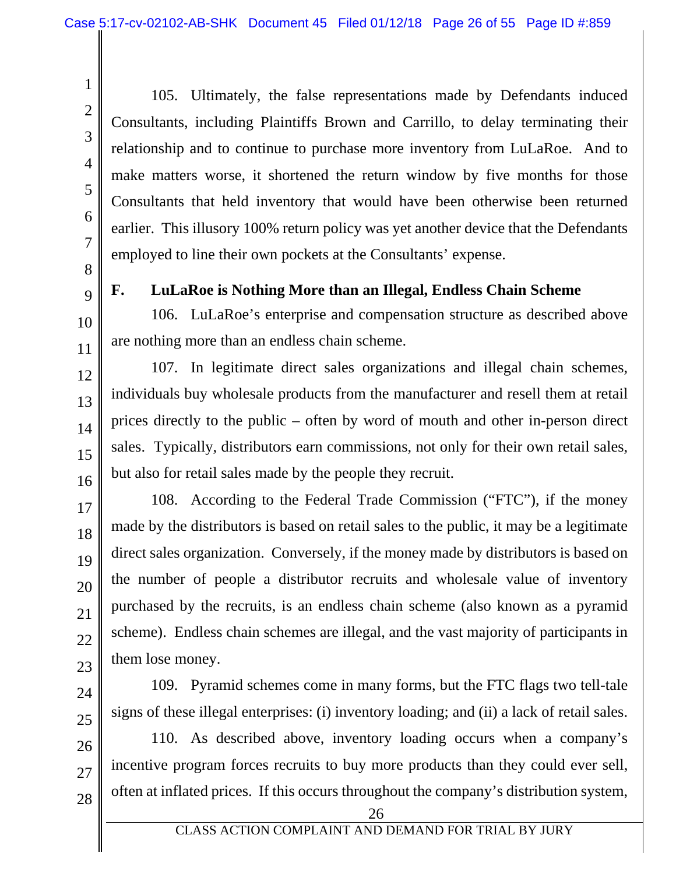105. Ultimately, the false representations made by Defendants induced Consultants, including Plaintiffs Brown and Carrillo, to delay terminating their relationship and to continue to purchase more inventory from LuLaRoe. And to make matters worse, it shortened the return window by five months for those Consultants that held inventory that would have been otherwise been returned earlier. This illusory 100% return policy was yet another device that the Defendants employed to line their own pockets at the Consultants' expense.

1

2

3

**F. LuLaRoe is Nothing More than an Illegal, Endless Chain Scheme** 

106. LuLaRoe's enterprise and compensation structure as described above are nothing more than an endless chain scheme.

107. In legitimate direct sales organizations and illegal chain schemes, individuals buy wholesale products from the manufacturer and resell them at retail prices directly to the public – often by word of mouth and other in-person direct sales. Typically, distributors earn commissions, not only for their own retail sales, but also for retail sales made by the people they recruit.

108. According to the Federal Trade Commission ("FTC"), if the money made by the distributors is based on retail sales to the public, it may be a legitimate direct sales organization. Conversely, if the money made by distributors is based on the number of people a distributor recruits and wholesale value of inventory purchased by the recruits, is an endless chain scheme (also known as a pyramid scheme). Endless chain schemes are illegal, and the vast majority of participants in them lose money.

109. Pyramid schemes come in many forms, but the FTC flags two tell-tale signs of these illegal enterprises: (i) inventory loading; and (ii) a lack of retail sales.

110. As described above, inventory loading occurs when a company's incentive program forces recruits to buy more products than they could ever sell, often at inflated prices. If this occurs throughout the company's distribution system,

28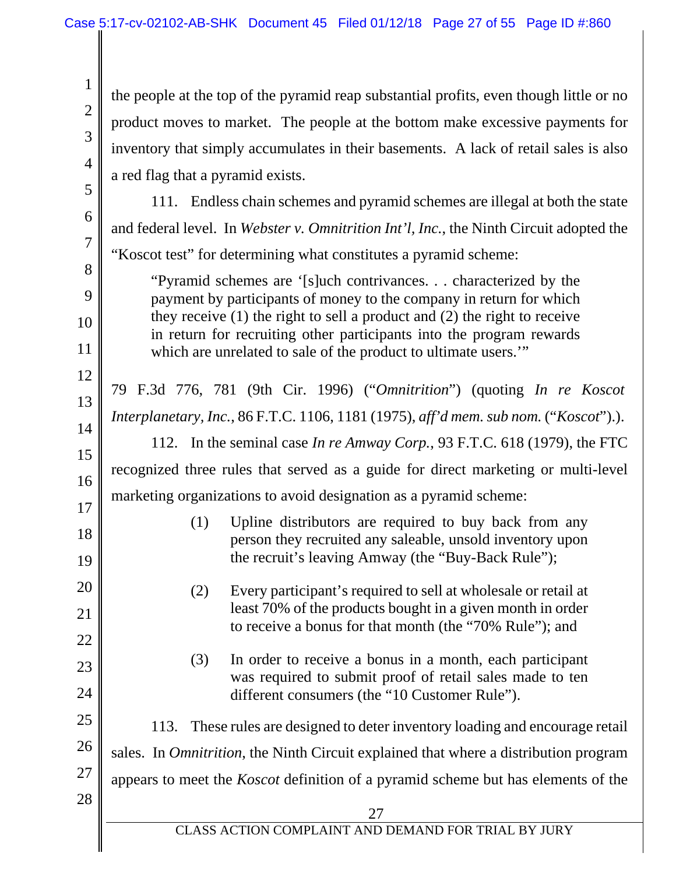27 CLASS ACTION COMPLAINT AND DEMAND FOR TRIAL BY JURY 1 2 3 4 5 6 7 8 9 10 11 12 13 14 15 16 17 18 19 20 21 22 23 24 25 26 27 28 the people at the top of the pyramid reap substantial profits, even though little or no product moves to market. The people at the bottom make excessive payments for inventory that simply accumulates in their basements. A lack of retail sales is also a red flag that a pyramid exists. 111. Endless chain schemes and pyramid schemes are illegal at both the state and federal level. In *Webster v. Omnitrition Int'l, Inc.*, the Ninth Circuit adopted the "Koscot test" for determining what constitutes a pyramid scheme: "Pyramid schemes are '[s]uch contrivances. . . characterized by the payment by participants of money to the company in return for which they receive (1) the right to sell a product and (2) the right to receive in return for recruiting other participants into the program rewards which are unrelated to sale of the product to ultimate users." 79 F.3d 776, 781 (9th Cir. 1996) ("*Omnitrition*") (quoting *In re Koscot Interplanetary, Inc.*, 86 F.T.C. 1106, 1181 (1975), *aff'd mem. sub nom.* ("*Koscot*").). 112. In the seminal case *In re Amway Corp.*, 93 F.T.C. 618 (1979), the FTC recognized three rules that served as a guide for direct marketing or multi-level marketing organizations to avoid designation as a pyramid scheme: (1) Upline distributors are required to buy back from any person they recruited any saleable, unsold inventory upon the recruit's leaving Amway (the "Buy-Back Rule"); (2) Every participant's required to sell at wholesale or retail at least 70% of the products bought in a given month in order to receive a bonus for that month (the "70% Rule"); and (3) In order to receive a bonus in a month, each participant was required to submit proof of retail sales made to ten different consumers (the "10 Customer Rule"). 113. These rules are designed to deter inventory loading and encourage retail sales. In *Omnitrition*, the Ninth Circuit explained that where a distribution program appears to meet the *Koscot* definition of a pyramid scheme but has elements of the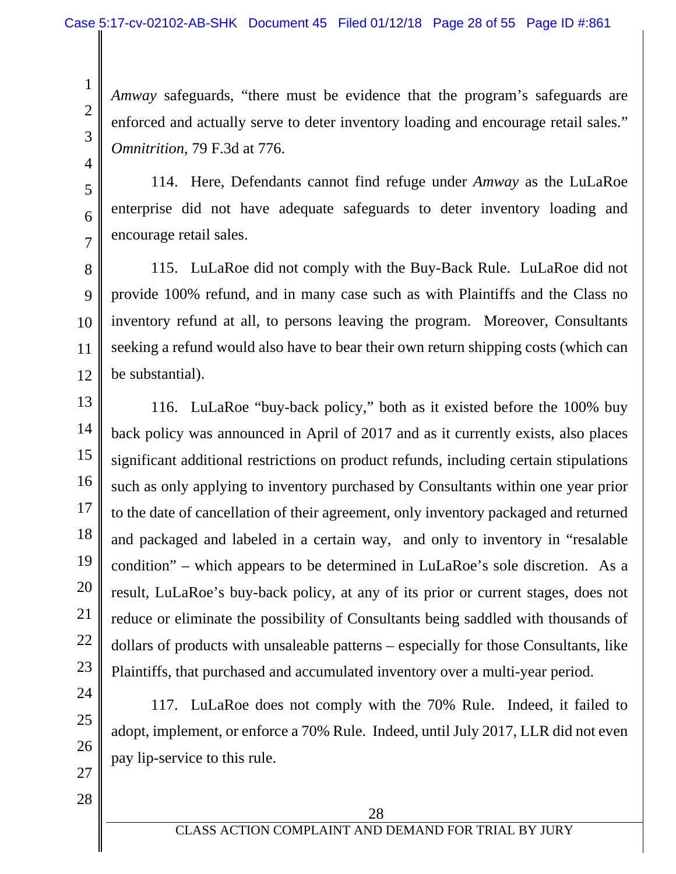*Amway* safeguards, "there must be evidence that the program's safeguards are enforced and actually serve to deter inventory loading and encourage retail sales." *Omnitrition*, 79 F.3d at 776.

4 5

6

7

1

2

3

114. Here, Defendants cannot find refuge under *Amway* as the LuLaRoe enterprise did not have adequate safeguards to deter inventory loading and encourage retail sales.

8 9 10 11 12 115. LuLaRoe did not comply with the Buy-Back Rule. LuLaRoe did not provide 100% refund, and in many case such as with Plaintiffs and the Class no inventory refund at all, to persons leaving the program. Moreover, Consultants seeking a refund would also have to bear their own return shipping costs (which can be substantial).

13 14 15 16 17 18 19 20 21 22 23 116. LuLaRoe "buy-back policy," both as it existed before the 100% buy back policy was announced in April of 2017 and as it currently exists, also places significant additional restrictions on product refunds, including certain stipulations such as only applying to inventory purchased by Consultants within one year prior to the date of cancellation of their agreement, only inventory packaged and returned and packaged and labeled in a certain way, and only to inventory in "resalable condition" – which appears to be determined in LuLaRoe's sole discretion. As a result, LuLaRoe's buy-back policy, at any of its prior or current stages, does not reduce or eliminate the possibility of Consultants being saddled with thousands of dollars of products with unsaleable patterns – especially for those Consultants, like Plaintiffs, that purchased and accumulated inventory over a multi-year period.

117. LuLaRoe does not comply with the 70% Rule. Indeed, it failed to adopt, implement, or enforce a 70% Rule. Indeed, until July 2017, LLR did not even pay lip-service to this rule.

28

27

24

25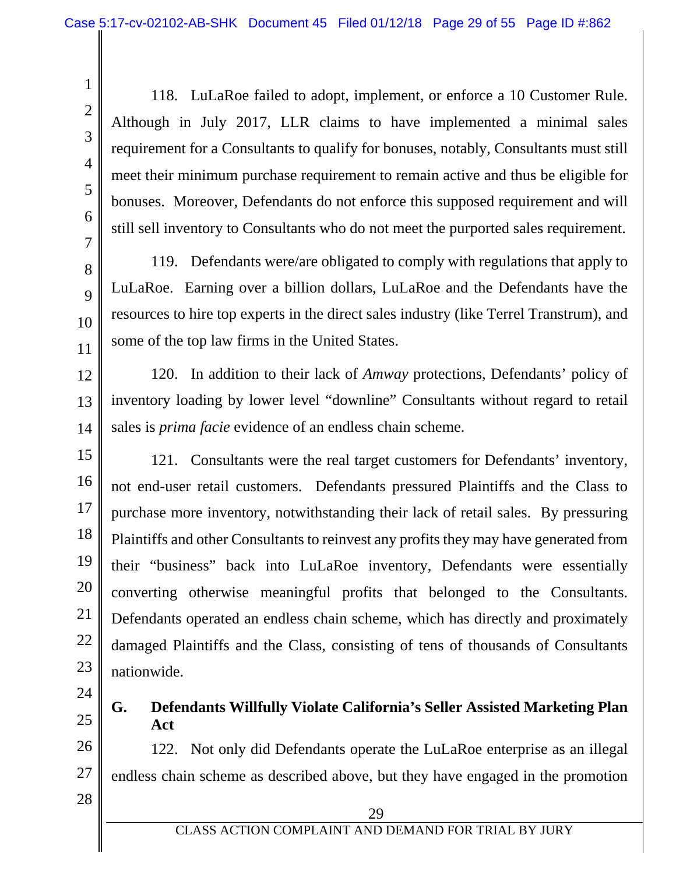118. LuLaRoe failed to adopt, implement, or enforce a 10 Customer Rule. Although in July 2017, LLR claims to have implemented a minimal sales requirement for a Consultants to qualify for bonuses, notably, Consultants must still meet their minimum purchase requirement to remain active and thus be eligible for bonuses. Moreover, Defendants do not enforce this supposed requirement and will still sell inventory to Consultants who do not meet the purported sales requirement.

119. Defendants were/are obligated to comply with regulations that apply to LuLaRoe. Earning over a billion dollars, LuLaRoe and the Defendants have the resources to hire top experts in the direct sales industry (like Terrel Transtrum), and some of the top law firms in the United States.

12 13 14 120. In addition to their lack of *Amway* protections, Defendants' policy of inventory loading by lower level "downline" Consultants without regard to retail sales is *prima facie* evidence of an endless chain scheme.

15 16 17 18 19 20 21 22 23 121. Consultants were the real target customers for Defendants' inventory, not end-user retail customers. Defendants pressured Plaintiffs and the Class to purchase more inventory, notwithstanding their lack of retail sales. By pressuring Plaintiffs and other Consultants to reinvest any profits they may have generated from their "business" back into LuLaRoe inventory, Defendants were essentially converting otherwise meaningful profits that belonged to the Consultants. Defendants operated an endless chain scheme, which has directly and proximately damaged Plaintiffs and the Class, consisting of tens of thousands of Consultants nationwide.

24

1

2

3

4

5

6

7

8

9

10

11

25

**G. Defendants Willfully Violate California's Seller Assisted Marketing Plan Act** 

26 27 122. Not only did Defendants operate the LuLaRoe enterprise as an illegal endless chain scheme as described above, but they have engaged in the promotion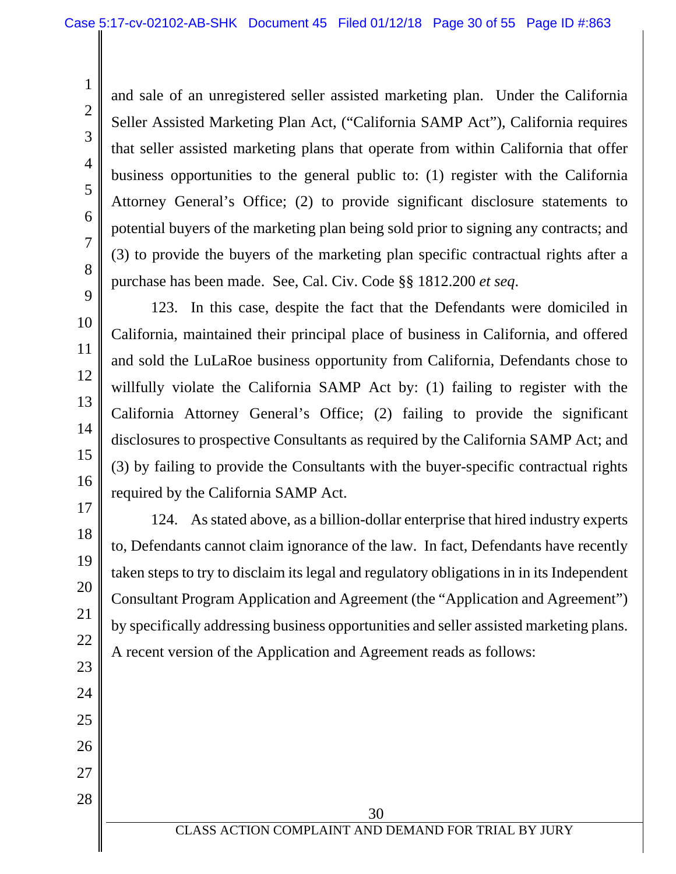and sale of an unregistered seller assisted marketing plan. Under the California Seller Assisted Marketing Plan Act, ("California SAMP Act"), California requires that seller assisted marketing plans that operate from within California that offer business opportunities to the general public to: (1) register with the California Attorney General's Office; (2) to provide significant disclosure statements to potential buyers of the marketing plan being sold prior to signing any contracts; and (3) to provide the buyers of the marketing plan specific contractual rights after a purchase has been made. See, Cal. Civ. Code §§ 1812.200 *et seq*.

25

26

27

28

1

2

3

4

5

6

7

123. In this case, despite the fact that the Defendants were domiciled in California, maintained their principal place of business in California, and offered and sold the LuLaRoe business opportunity from California, Defendants chose to willfully violate the California SAMP Act by: (1) failing to register with the California Attorney General's Office; (2) failing to provide the significant disclosures to prospective Consultants as required by the California SAMP Act; and (3) by failing to provide the Consultants with the buyer-specific contractual rights required by the California SAMP Act.

124. As stated above, as a billion-dollar enterprise that hired industry experts to, Defendants cannot claim ignorance of the law. In fact, Defendants have recently taken steps to try to disclaim its legal and regulatory obligations in in its Independent Consultant Program Application and Agreement (the "Application and Agreement") by specifically addressing business opportunities and seller assisted marketing plans. A recent version of the Application and Agreement reads as follows: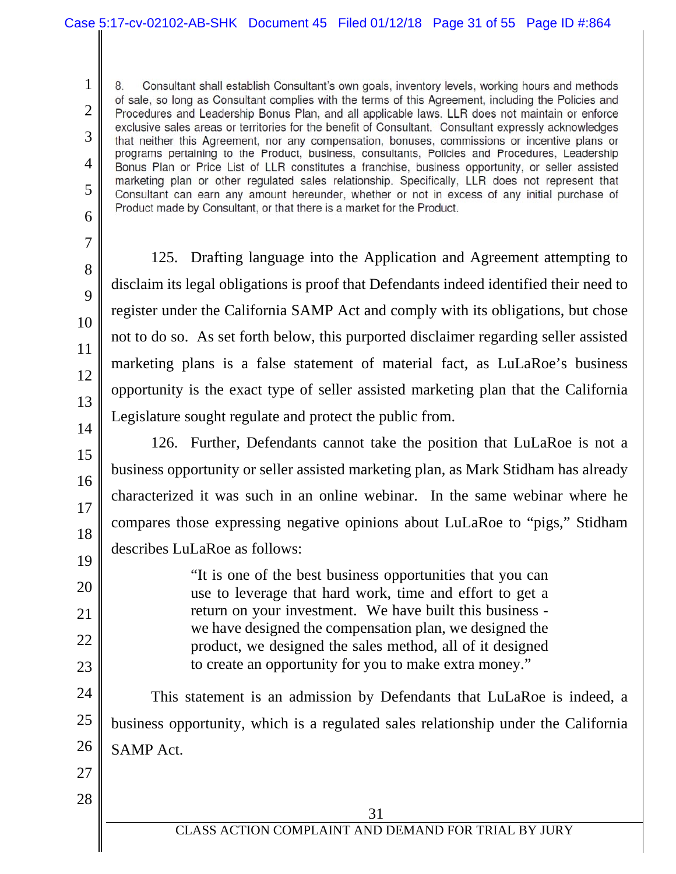Consultant shall establish Consultant's own goals, inventory levels, working hours and methods of sale, so long as Consultant complies with the terms of this Agreement, including the Policies and Procedures and Leadership Bonus Plan, and all applicable laws. LLR does not maintain or enforce exclusive sales areas or territories for the benefit of Consultant. Consultant expressly acknowledges 3 that neither this Agreement, nor any compensation, bonuses, commissions or incentive plans or programs pertaining to the Product, business, consultants, Policies and Procedures, Leadership 4 Bonus Plan or Price List of LLR constitutes a franchise, business opportunity, or seller assisted marketing plan or other regulated sales relationship. Specifically, LLR does not represent that 5 Consultant can earn any amount hereunder, whether or not in excess of any initial purchase of Product made by Consultant, or that there is a market for the Product.

6 7

8

9

10

11

12

13

14

15

16

17

18

19

20

21

22

23

1

2

125. Drafting language into the Application and Agreement attempting to disclaim its legal obligations is proof that Defendants indeed identified their need to register under the California SAMP Act and comply with its obligations, but chose not to do so. As set forth below, this purported disclaimer regarding seller assisted marketing plans is a false statement of material fact, as LuLaRoe's business opportunity is the exact type of seller assisted marketing plan that the California Legislature sought regulate and protect the public from.

126. Further, Defendants cannot take the position that LuLaRoe is not a business opportunity or seller assisted marketing plan, as Mark Stidham has already characterized it was such in an online webinar. In the same webinar where he compares those expressing negative opinions about LuLaRoe to "pigs," Stidham describes LuLaRoe as follows:

"It is one of the best business opportunities that you can use to leverage that hard work, time and effort to get a return on your investment. We have built this business we have designed the compensation plan, we designed the product, we designed the sales method, all of it designed to create an opportunity for you to make extra money."

24 25 26 This statement is an admission by Defendants that LuLaRoe is indeed, a business opportunity, which is a regulated sales relationship under the California SAMP Act.

27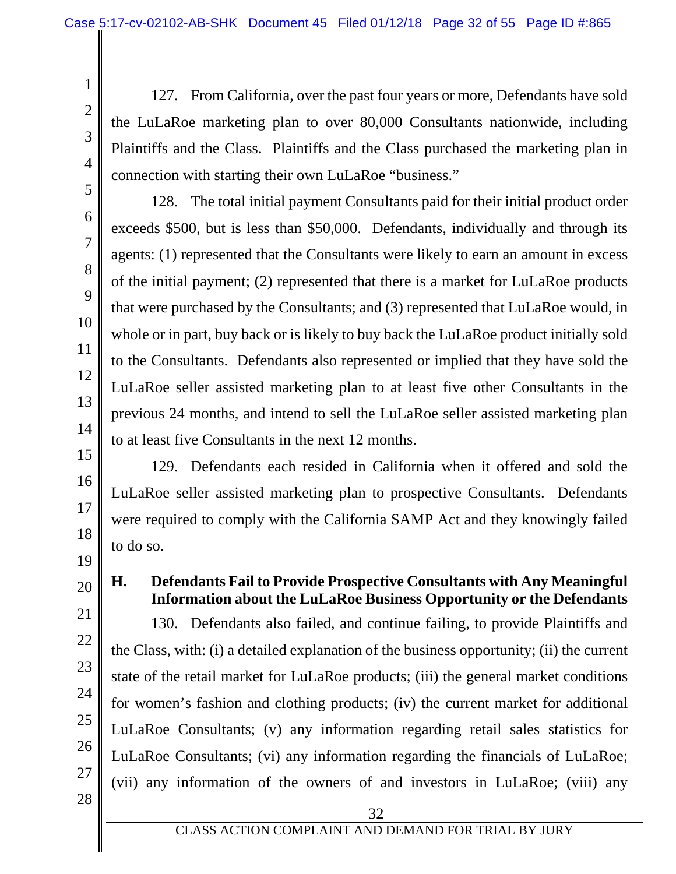127. From California, over the past four years or more, Defendants have sold the LuLaRoe marketing plan to over 80,000 Consultants nationwide, including Plaintiffs and the Class. Plaintiffs and the Class purchased the marketing plan in connection with starting their own LuLaRoe "business."

128. The total initial payment Consultants paid for their initial product order exceeds \$500, but is less than \$50,000. Defendants, individually and through its agents: (1) represented that the Consultants were likely to earn an amount in excess of the initial payment; (2) represented that there is a market for LuLaRoe products that were purchased by the Consultants; and (3) represented that LuLaRoe would, in whole or in part, buy back or is likely to buy back the LuLaRoe product initially sold to the Consultants. Defendants also represented or implied that they have sold the LuLaRoe seller assisted marketing plan to at least five other Consultants in the previous 24 months, and intend to sell the LuLaRoe seller assisted marketing plan to at least five Consultants in the next 12 months.

129. Defendants each resided in California when it offered and sold the LuLaRoe seller assisted marketing plan to prospective Consultants. Defendants were required to comply with the California SAMP Act and they knowingly failed to do so.

21

22

23

24

25

26

**H. Defendants Fail to Provide Prospective Consultants with Any Meaningful Information about the LuLaRoe Business Opportunity or the Defendants** 

130. Defendants also failed, and continue failing, to provide Plaintiffs and the Class, with: (i) a detailed explanation of the business opportunity; (ii) the current state of the retail market for LuLaRoe products; (iii) the general market conditions for women's fashion and clothing products; (iv) the current market for additional LuLaRoe Consultants; (v) any information regarding retail sales statistics for LuLaRoe Consultants; (vi) any information regarding the financials of LuLaRoe; (vii) any information of the owners of and investors in LuLaRoe; (viii) any

1

2

3

4

5

6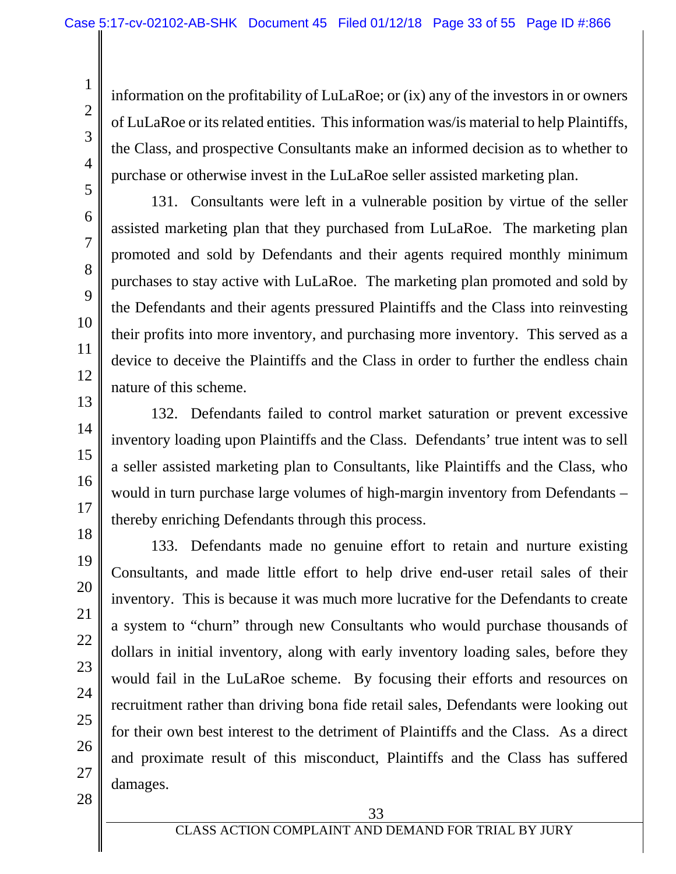information on the profitability of LuLaRoe; or (ix) any of the investors in or owners of LuLaRoe or its related entities. This information was/is material to help Plaintiffs, the Class, and prospective Consultants make an informed decision as to whether to purchase or otherwise invest in the LuLaRoe seller assisted marketing plan.

131. Consultants were left in a vulnerable position by virtue of the seller assisted marketing plan that they purchased from LuLaRoe. The marketing plan promoted and sold by Defendants and their agents required monthly minimum purchases to stay active with LuLaRoe. The marketing plan promoted and sold by the Defendants and their agents pressured Plaintiffs and the Class into reinvesting their profits into more inventory, and purchasing more inventory. This served as a device to deceive the Plaintiffs and the Class in order to further the endless chain nature of this scheme.

132. Defendants failed to control market saturation or prevent excessive inventory loading upon Plaintiffs and the Class. Defendants' true intent was to sell a seller assisted marketing plan to Consultants, like Plaintiffs and the Class, who would in turn purchase large volumes of high-margin inventory from Defendants – thereby enriching Defendants through this process.

133. Defendants made no genuine effort to retain and nurture existing Consultants, and made little effort to help drive end-user retail sales of their inventory. This is because it was much more lucrative for the Defendants to create a system to "churn" through new Consultants who would purchase thousands of dollars in initial inventory, along with early inventory loading sales, before they would fail in the LuLaRoe scheme. By focusing their efforts and resources on recruitment rather than driving bona fide retail sales, Defendants were looking out for their own best interest to the detriment of Plaintiffs and the Class. As a direct and proximate result of this misconduct, Plaintiffs and the Class has suffered damages.

28

1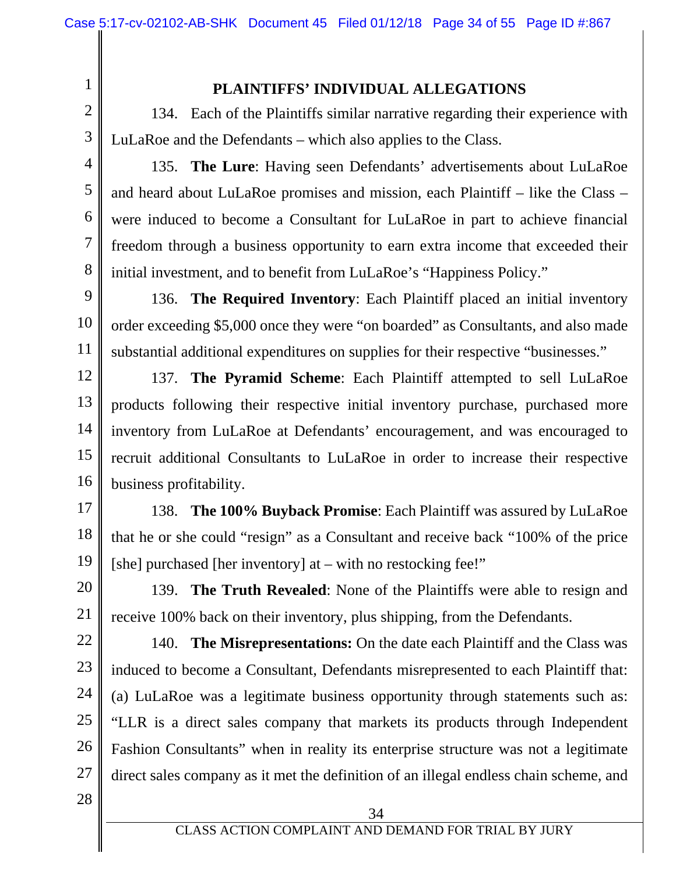### **PLAINTIFFS' INDIVIDUAL ALLEGATIONS**

134. Each of the Plaintiffs similar narrative regarding their experience with LuLaRoe and the Defendants – which also applies to the Class.

3

1

2

4

5

6

7

8

135. **The Lure**: Having seen Defendants' advertisements about LuLaRoe and heard about LuLaRoe promises and mission, each Plaintiff – like the Class – were induced to become a Consultant for LuLaRoe in part to achieve financial freedom through a business opportunity to earn extra income that exceeded their initial investment, and to benefit from LuLaRoe's "Happiness Policy."

9 10 11 136. **The Required Inventory**: Each Plaintiff placed an initial inventory order exceeding \$5,000 once they were "on boarded" as Consultants, and also made substantial additional expenditures on supplies for their respective "businesses."

12 13 14 15 16 137. **The Pyramid Scheme**: Each Plaintiff attempted to sell LuLaRoe products following their respective initial inventory purchase, purchased more inventory from LuLaRoe at Defendants' encouragement, and was encouraged to recruit additional Consultants to LuLaRoe in order to increase their respective business profitability.

17 18 19 138. **The 100% Buyback Promise**: Each Plaintiff was assured by LuLaRoe that he or she could "resign" as a Consultant and receive back "100% of the price [she] purchased [her inventory] at – with no restocking fee!"

20 21 139. **The Truth Revealed**: None of the Plaintiffs were able to resign and receive 100% back on their inventory, plus shipping, from the Defendants.

22 23 24 25 26 27 140. **The Misrepresentations:** On the date each Plaintiff and the Class was induced to become a Consultant, Defendants misrepresented to each Plaintiff that: (a) LuLaRoe was a legitimate business opportunity through statements such as: "LLR is a direct sales company that markets its products through Independent Fashion Consultants" when in reality its enterprise structure was not a legitimate direct sales company as it met the definition of an illegal endless chain scheme, and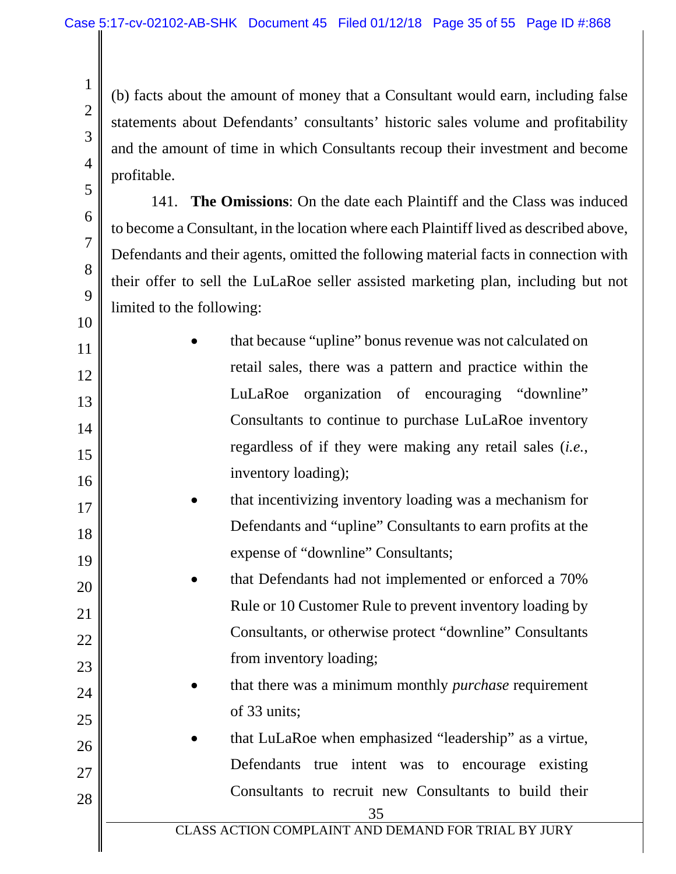2

3

4

5

6

7

8

9

10

11

12

13

14

15

16

17

18

19

20

21

22

23

24

25

26

27

28

(b) facts about the amount of money that a Consultant would earn, including false statements about Defendants' consultants' historic sales volume and profitability and the amount of time in which Consultants recoup their investment and become profitable.

141. **The Omissions**: On the date each Plaintiff and the Class was induced to become a Consultant, in the location where each Plaintiff lived as described above, Defendants and their agents, omitted the following material facts in connection with their offer to sell the LuLaRoe seller assisted marketing plan, including but not limited to the following:

 that because "upline" bonus revenue was not calculated on retail sales, there was a pattern and practice within the LuLaRoe organization of encouraging "downline" Consultants to continue to purchase LuLaRoe inventory regardless of if they were making any retail sales (*i.e.*, inventory loading);

 that incentivizing inventory loading was a mechanism for Defendants and "upline" Consultants to earn profits at the expense of "downline" Consultants;

 that Defendants had not implemented or enforced a 70% Rule or 10 Customer Rule to prevent inventory loading by Consultants, or otherwise protect "downline" Consultants from inventory loading;

 that there was a minimum monthly *purchase* requirement of 33 units;

 that LuLaRoe when emphasized "leadership" as a virtue, Defendants true intent was to encourage existing Consultants to recruit new Consultants to build their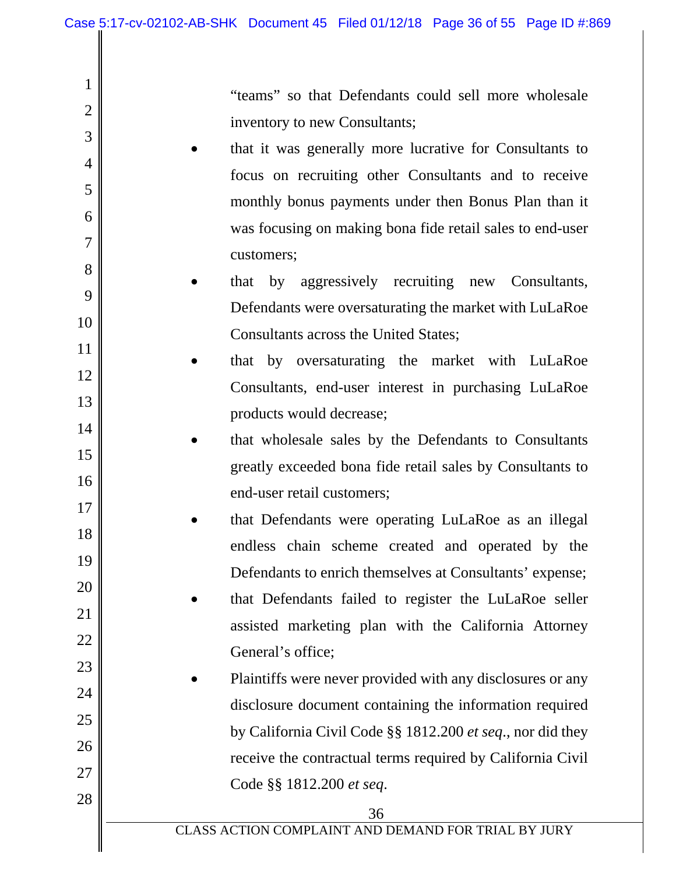2

3

4

5

6

7

8

9

10

11

12

13

14

15

16

17

18

19

20

21

22

23

24

25

26

27

28

"teams" so that Defendants could sell more wholesale inventory to new Consultants;

- that it was generally more lucrative for Consultants to focus on recruiting other Consultants and to receive monthly bonus payments under then Bonus Plan than it was focusing on making bona fide retail sales to end-user customers;
- that by aggressively recruiting new Consultants, Defendants were oversaturating the market with LuLaRoe Consultants across the United States;
- that by oversaturating the market with LuLaRoe Consultants, end-user interest in purchasing LuLaRoe products would decrease;
	- that wholesale sales by the Defendants to Consultants greatly exceeded bona fide retail sales by Consultants to end-user retail customers;
- that Defendants were operating LuLaRoe as an illegal endless chain scheme created and operated by the Defendants to enrich themselves at Consultants' expense;
	- that Defendants failed to register the LuLaRoe seller assisted marketing plan with the California Attorney General's office;
- Plaintiffs were never provided with any disclosures or any disclosure document containing the information required by California Civil Code §§ 1812.200 *et seq*., nor did they receive the contractual terms required by California Civil Code §§ 1812.200 *et seq*.

CLASS ACTION COMPLAINT AND DEMAND FOR TRIAL BY JURY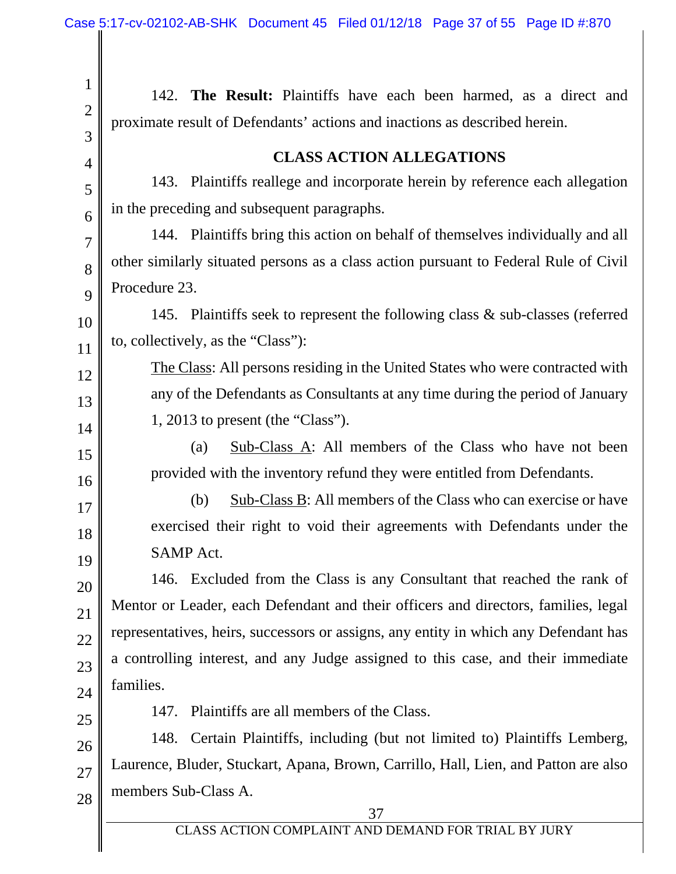Ш

 $\parallel$ 

| $\mathbf{1}$   | 142. The Result: Plaintiffs have each been harmed, as a direct and                   |
|----------------|--------------------------------------------------------------------------------------|
| $\overline{2}$ | proximate result of Defendants' actions and inactions as described herein.           |
| 3              | <b>CLASS ACTION ALLEGATIONS</b>                                                      |
| 4<br>5         | Plaintiffs reallege and incorporate herein by reference each allegation<br>143.      |
| 6              | in the preceding and subsequent paragraphs.                                          |
| $\overline{7}$ | 144. Plaintiffs bring this action on behalf of themselves individually and all       |
| 8              | other similarly situated persons as a class action pursuant to Federal Rule of Civil |
| 9              | Procedure 23.                                                                        |
| 10             | 145. Plaintiffs seek to represent the following class & sub-classes (referred        |
| 11             | to, collectively, as the "Class"):                                                   |
| 12             | The Class: All persons residing in the United States who were contracted with        |
| 13             | any of the Defendants as Consultants at any time during the period of January        |
| 14             | 1, 2013 to present (the "Class").                                                    |
| 15             | Sub-Class A: All members of the Class who have not been<br>(a)                       |
| 16             | provided with the inventory refund they were entitled from Defendants.               |
| 17             | $Sub-Class B$ : All members of the Class who can exercise or have<br>(b)             |
| 18             | exercised their right to void their agreements with Defendants under the             |
| 19             | <b>SAMP</b> Act.                                                                     |
| 20             | 146. Excluded from the Class is any Consultant that reached the rank of              |
| 21             | Mentor or Leader, each Defendant and their officers and directors, families, legal   |
| 22             | representatives, heirs, successors or assigns, any entity in which any Defendant has |
| 23             | a controlling interest, and any Judge assigned to this case, and their immediate     |
| 24             | families.                                                                            |
| 25             | Plaintiffs are all members of the Class.<br>147.                                     |
| 26             | Certain Plaintiffs, including (but not limited to) Plaintiffs Lemberg,<br>148.       |
| 27             | Laurence, Bluder, Stuckart, Apana, Brown, Carrillo, Hall, Lien, and Patton are also  |
| 28             | members Sub-Class A.<br>37                                                           |
|                | CLASS ACTION COMPLAINT AND DEMAND FOR TRIAL BY JURY                                  |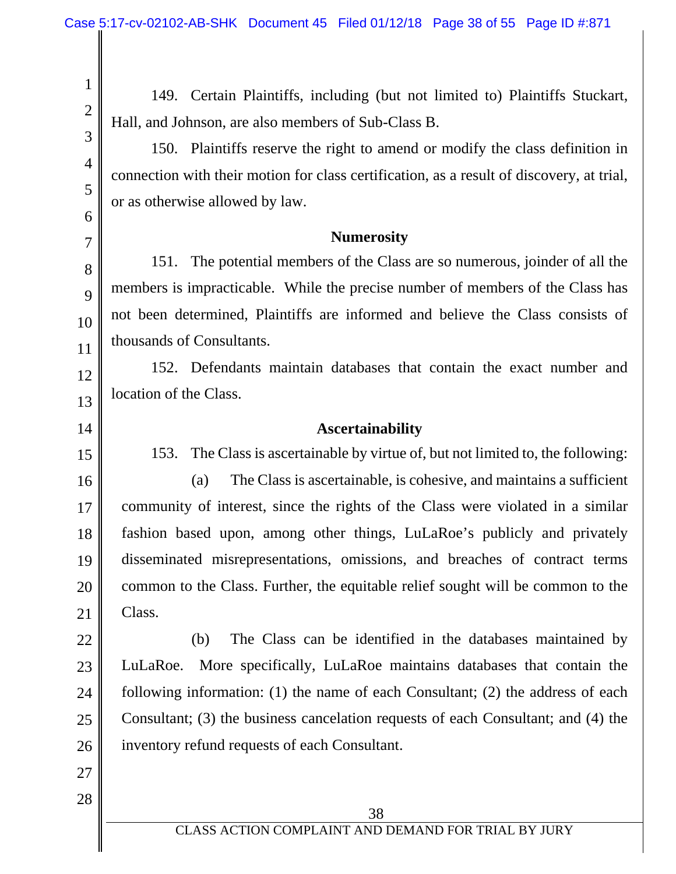149. Certain Plaintiffs, including (but not limited to) Plaintiffs Stuckart, Hall, and Johnson, are also members of Sub-Class B.

150. Plaintiffs reserve the right to amend or modify the class definition in connection with their motion for class certification, as a result of discovery, at trial, or as otherwise allowed by law.

#### **Numerosity**

151. The potential members of the Class are so numerous, joinder of all the members is impracticable. While the precise number of members of the Class has not been determined, Plaintiffs are informed and believe the Class consists of thousands of Consultants.

12 13 152. Defendants maintain databases that contain the exact number and location of the Class.

#### **Ascertainability**

153. The Class is ascertainable by virtue of, but not limited to, the following:

16 17 18 19 20 21 (a) The Class is ascertainable, is cohesive, and maintains a sufficient community of interest, since the rights of the Class were violated in a similar fashion based upon, among other things, LuLaRoe's publicly and privately disseminated misrepresentations, omissions, and breaches of contract terms common to the Class. Further, the equitable relief sought will be common to the Class.

22 23 24 25 26 (b) The Class can be identified in the databases maintained by LuLaRoe. More specifically, LuLaRoe maintains databases that contain the following information: (1) the name of each Consultant; (2) the address of each Consultant; (3) the business cancelation requests of each Consultant; and (4) the inventory refund requests of each Consultant.

27 28

1

2

3

4

5

6

7

8

9

10

11

14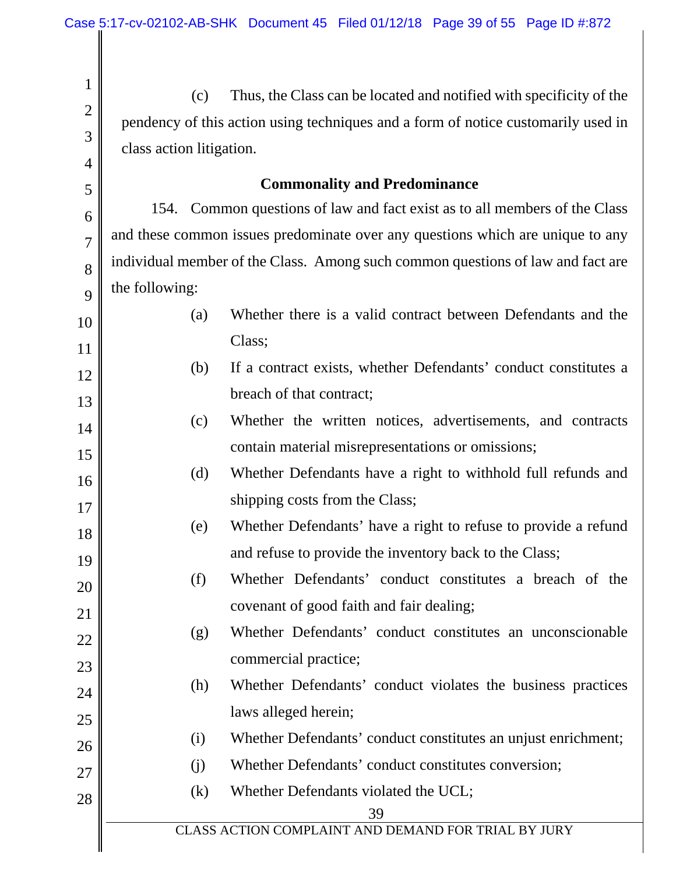Ш

| $\mathbf{1}$   | (c)                                                                               | Thus, the Class can be located and notified with specificity of the             |  |
|----------------|-----------------------------------------------------------------------------------|---------------------------------------------------------------------------------|--|
| $\overline{2}$ | pendency of this action using techniques and a form of notice customarily used in |                                                                                 |  |
| 3              | class action litigation.                                                          |                                                                                 |  |
| $\overline{4}$ |                                                                                   |                                                                                 |  |
| 5              |                                                                                   | <b>Commonality and Predominance</b>                                             |  |
| 6              |                                                                                   | 154. Common questions of law and fact exist as to all members of the Class      |  |
| $\overline{7}$ |                                                                                   | and these common issues predominate over any questions which are unique to any  |  |
| 8              |                                                                                   | individual member of the Class. Among such common questions of law and fact are |  |
| 9              | the following:                                                                    |                                                                                 |  |
| 10             | (a)                                                                               | Whether there is a valid contract between Defendants and the                    |  |
| 11             |                                                                                   | Class;                                                                          |  |
| 12             | (b)                                                                               | If a contract exists, whether Defendants' conduct constitutes a                 |  |
| 13             |                                                                                   | breach of that contract;                                                        |  |
| 14             | (c)                                                                               | Whether the written notices, advertisements, and contracts                      |  |
| 15             |                                                                                   | contain material misrepresentations or omissions;                               |  |
| 16             | (d)                                                                               | Whether Defendants have a right to withhold full refunds and                    |  |
| 17             |                                                                                   | shipping costs from the Class;                                                  |  |
| 18             | (e)                                                                               | Whether Defendants' have a right to refuse to provide a refund                  |  |
| 19             |                                                                                   | and refuse to provide the inventory back to the Class;                          |  |
| 20             | (f)                                                                               | Whether Defendants' conduct constitutes a breach of the                         |  |
| 21             |                                                                                   | covenant of good faith and fair dealing;                                        |  |
| 22             | (g)                                                                               | Whether Defendants' conduct constitutes an unconscionable                       |  |
| 23             |                                                                                   | commercial practice;                                                            |  |
| 24             | (h)                                                                               | Whether Defendants' conduct violates the business practices                     |  |
| 25             |                                                                                   | laws alleged herein;                                                            |  |
| 26             | (i)                                                                               | Whether Defendants' conduct constitutes an unjust enrichment;                   |  |
| 27             | (j)                                                                               | Whether Defendants' conduct constitutes conversion;                             |  |
| 28             | (k)                                                                               | Whether Defendants violated the UCL;                                            |  |
|                |                                                                                   | 39<br>CLASS ACTION COMPLAINT AND DEMAND FOR TRIAL BY JURY                       |  |
|                |                                                                                   |                                                                                 |  |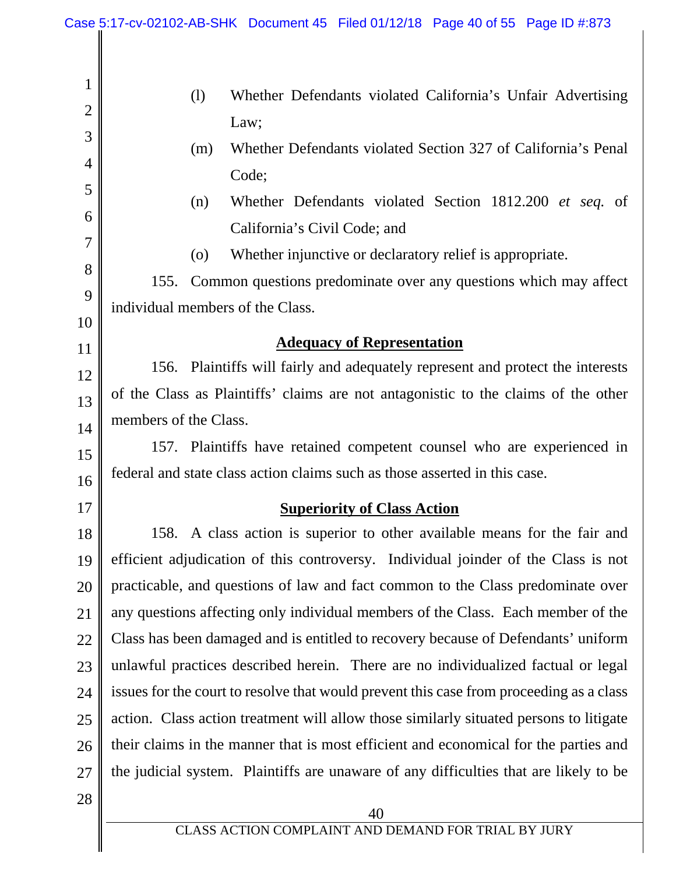$\mathsf{I}$ 

 $\parallel$ 

| $\mathbf{1}$   | Whether Defendants violated California's Unfair Advertising<br>(1)                      |  |
|----------------|-----------------------------------------------------------------------------------------|--|
| $\overline{2}$ | Law;                                                                                    |  |
| 3              | Whether Defendants violated Section 327 of California's Penal<br>(m)                    |  |
| $\overline{4}$ | Code;                                                                                   |  |
| 5              | Whether Defendants violated Section 1812.200 et seq. of<br>(n)                          |  |
| 6              | California's Civil Code; and                                                            |  |
| $\overline{7}$ | Whether injunctive or declaratory relief is appropriate.<br>$\left( 0 \right)$          |  |
| 8              | Common questions predominate over any questions which may affect<br>155.                |  |
| 9              | individual members of the Class.                                                        |  |
| 10             | <b>Adequacy of Representation</b>                                                       |  |
| 11             | 156. Plaintiffs will fairly and adequately represent and protect the interests          |  |
| 12             | of the Class as Plaintiffs' claims are not antagonistic to the claims of the other      |  |
| 13             | members of the Class.                                                                   |  |
| 14<br>15       | 157. Plaintiffs have retained competent counsel who are experienced in                  |  |
| 16             | federal and state class action claims such as those asserted in this case.              |  |
| 17             | <b>Superiority of Class Action</b>                                                      |  |
| 18             | 158. A class action is superior to other available means for the fair and               |  |
| 19             | efficient adjudication of this controversy. Individual joinder of the Class is not      |  |
| 20             | practicable, and questions of law and fact common to the Class predominate over         |  |
| 21             | any questions affecting only individual members of the Class. Each member of the        |  |
| 22             | Class has been damaged and is entitled to recovery because of Defendants' uniform       |  |
| 23             | unlawful practices described herein. There are no individualized factual or legal       |  |
| 24             | issues for the court to resolve that would prevent this case from proceeding as a class |  |
| 25             | action. Class action treatment will allow those similarly situated persons to litigate  |  |
| 26             | their claims in the manner that is most efficient and economical for the parties and    |  |
| 27             | the judicial system. Plaintiffs are unaware of any difficulties that are likely to be   |  |
| 28             |                                                                                         |  |
|                | 40                                                                                      |  |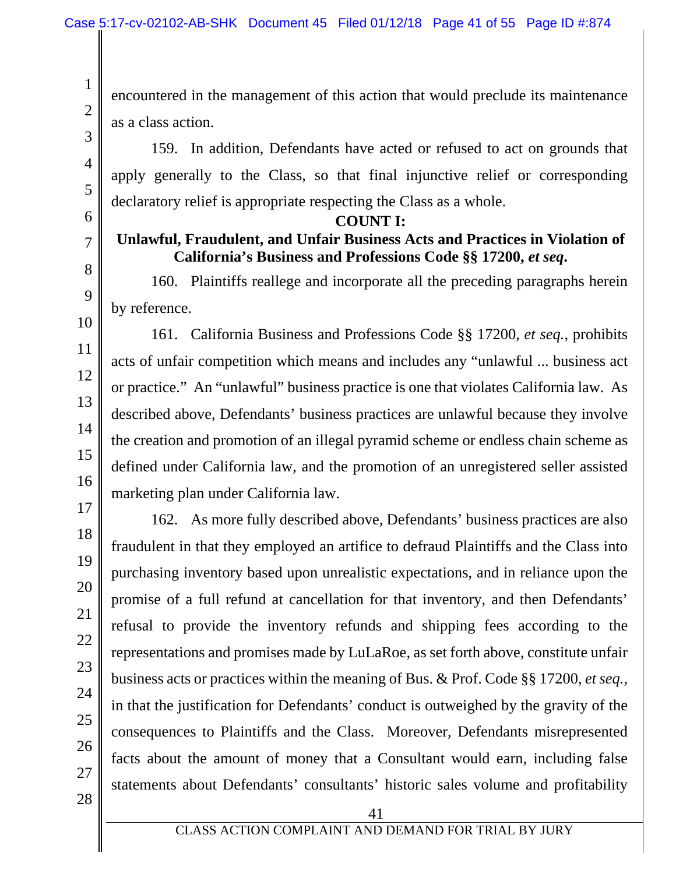encountered in the management of this action that would preclude its maintenance as a class action.

159. In addition, Defendants have acted or refused to act on grounds that apply generally to the Class, so that final injunctive relief or corresponding declaratory relief is appropriate respecting the Class as a whole.

6

1

2

3

4

5

7

8

9

10

11

12

13

14

15

16

17

18

19

20

21

22

23

24

25

26

### **COUNT I:**

# **Unlawful, Fraudulent, and Unfair Business Acts and Practices in Violation of California's Business and Professions Code §§ 17200,** *et seq***.**

160. Plaintiffs reallege and incorporate all the preceding paragraphs herein by reference.

161. California Business and Professions Code §§ 17200, *et seq.*, prohibits acts of unfair competition which means and includes any "unlawful ... business act or practice." An "unlawful" business practice is one that violates California law. As described above, Defendants' business practices are unlawful because they involve the creation and promotion of an illegal pyramid scheme or endless chain scheme as defined under California law, and the promotion of an unregistered seller assisted marketing plan under California law.

162. As more fully described above, Defendants' business practices are also fraudulent in that they employed an artifice to defraud Plaintiffs and the Class into purchasing inventory based upon unrealistic expectations, and in reliance upon the promise of a full refund at cancellation for that inventory, and then Defendants' refusal to provide the inventory refunds and shipping fees according to the representations and promises made by LuLaRoe, as set forth above, constitute unfair business acts or practices within the meaning of Bus. & Prof. Code §§ 17200, *et seq.*, in that the justification for Defendants' conduct is outweighed by the gravity of the consequences to Plaintiffs and the Class. Moreover, Defendants misrepresented facts about the amount of money that a Consultant would earn, including false statements about Defendants' consultants' historic sales volume and profitability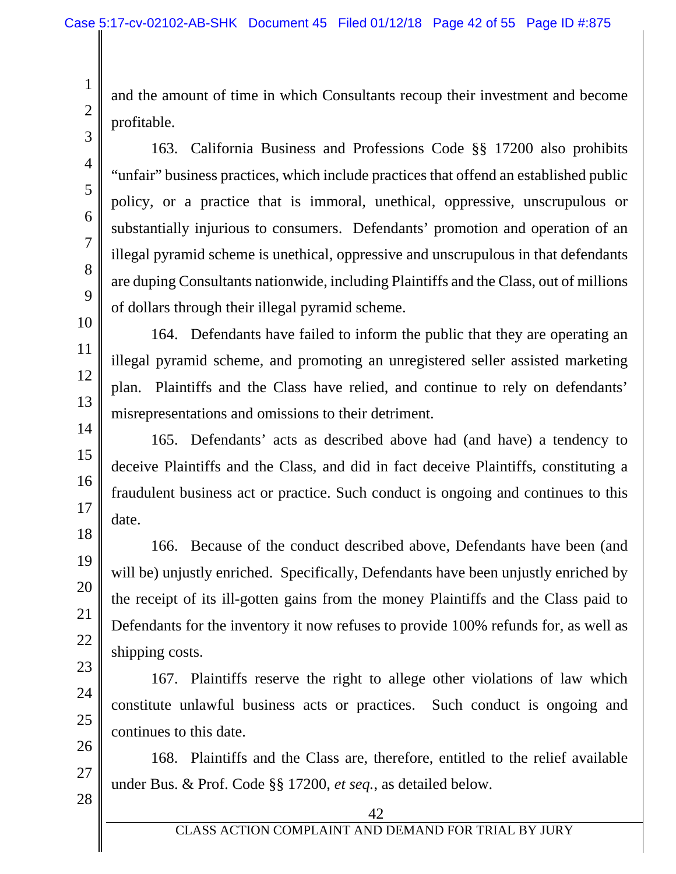and the amount of time in which Consultants recoup their investment and become profitable.

163. California Business and Professions Code §§ 17200 also prohibits "unfair" business practices, which include practices that offend an established public policy, or a practice that is immoral, unethical, oppressive, unscrupulous or substantially injurious to consumers. Defendants' promotion and operation of an illegal pyramid scheme is unethical, oppressive and unscrupulous in that defendants are duping Consultants nationwide, including Plaintiffs and the Class, out of millions of dollars through their illegal pyramid scheme.

164. Defendants have failed to inform the public that they are operating an illegal pyramid scheme, and promoting an unregistered seller assisted marketing plan. Plaintiffs and the Class have relied, and continue to rely on defendants' misrepresentations and omissions to their detriment.

165. Defendants' acts as described above had (and have) a tendency to deceive Plaintiffs and the Class, and did in fact deceive Plaintiffs, constituting a fraudulent business act or practice. Such conduct is ongoing and continues to this date.

166. Because of the conduct described above, Defendants have been (and will be) unjustly enriched. Specifically, Defendants have been unjustly enriched by the receipt of its ill-gotten gains from the money Plaintiffs and the Class paid to Defendants for the inventory it now refuses to provide 100% refunds for, as well as shipping costs.

167. Plaintiffs reserve the right to allege other violations of law which constitute unlawful business acts or practices. Such conduct is ongoing and continues to this date.

26 27 28 168. Plaintiffs and the Class are, therefore, entitled to the relief available under Bus. & Prof. Code §§ 17200, *et seq.*, as detailed below.

1

2

3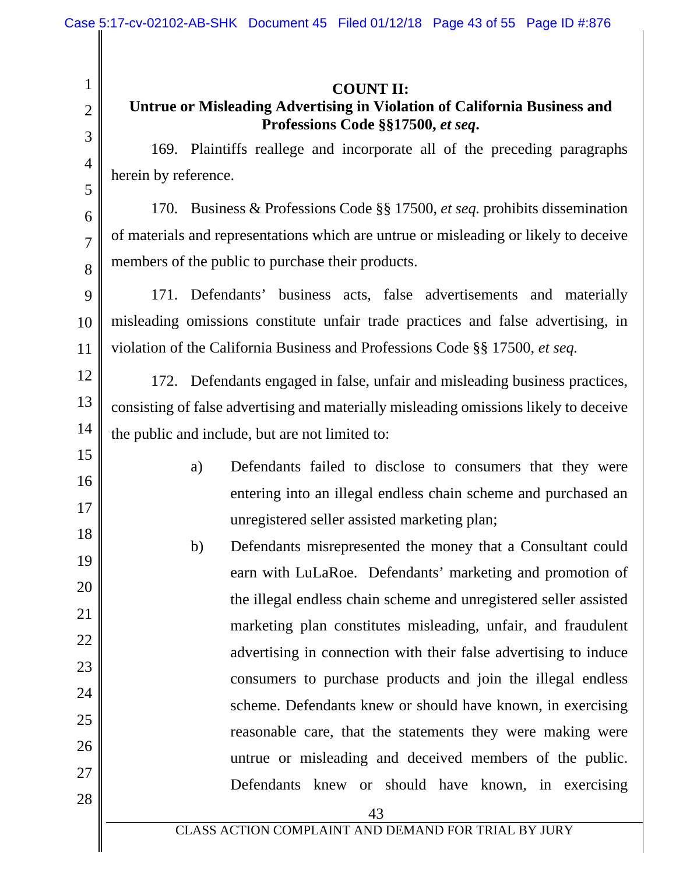| $\mathbf{1}$<br>$\overline{2}$ | <b>COUNT II:</b><br>Untrue or Misleading Advertising in Violation of California Business and<br>Professions Code §§17500, et seq. |
|--------------------------------|-----------------------------------------------------------------------------------------------------------------------------------|
| 3                              | 169. Plaintiffs reallege and incorporate all of the preceding paragraphs                                                          |
| $\overline{4}$<br>5            | herein by reference.                                                                                                              |
| 6                              | 170. Business & Professions Code §§ 17500, et seq. prohibits dissemination                                                        |
| $\overline{7}$                 | of materials and representations which are untrue or misleading or likely to deceive                                              |
| 8                              | members of the public to purchase their products.                                                                                 |
| 9                              | 171. Defendants' business acts, false advertisements and materially                                                               |
| 10                             | misleading omissions constitute unfair trade practices and false advertising, in                                                  |
| 11                             | violation of the California Business and Professions Code §§ 17500, et seq.                                                       |
| 12                             | 172. Defendants engaged in false, unfair and misleading business practices,                                                       |
| 13                             | consisting of false advertising and materially misleading omissions likely to deceive                                             |
| 14                             | the public and include, but are not limited to:                                                                                   |
| 15                             | Defendants failed to disclose to consumers that they were<br>a)                                                                   |
| 16                             | entering into an illegal endless chain scheme and purchased an                                                                    |
| 17                             | unregistered seller assisted marketing plan;                                                                                      |
| 18                             | b)<br>Defendants misrepresented the money that a Consultant could                                                                 |
| 19<br>20                       | earn with LuLaRoe. Defendants' marketing and promotion of                                                                         |
| 21                             | the illegal endless chain scheme and unregistered seller assisted                                                                 |
| 22                             | marketing plan constitutes misleading, unfair, and fraudulent                                                                     |
| 23                             | advertising in connection with their false advertising to induce                                                                  |
| 24                             | consumers to purchase products and join the illegal endless                                                                       |
| 25                             | scheme. Defendants knew or should have known, in exercising                                                                       |
| 26                             | reasonable care, that the statements they were making were                                                                        |
| 27                             | untrue or misleading and deceived members of the public.                                                                          |
| 28                             | Defendants knew or should have known, in exercising                                                                               |
|                                | 43<br>CLASS ACTION COMPLAINT AND DEMAND FOR TRIAL BY JURY                                                                         |
|                                |                                                                                                                                   |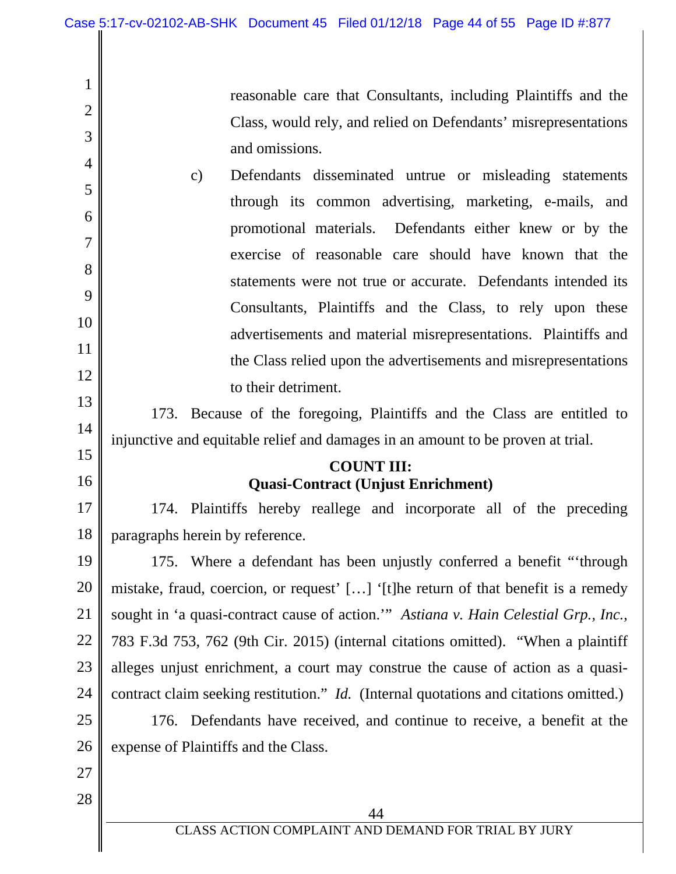reasonable care that Consultants, including Plaintiffs and the Class, would rely, and relied on Defendants' misrepresentations and omissions.

c) Defendants disseminated untrue or misleading statements through its common advertising, marketing, e-mails, and promotional materials. Defendants either knew or by the exercise of reasonable care should have known that the statements were not true or accurate. Defendants intended its Consultants, Plaintiffs and the Class, to rely upon these advertisements and material misrepresentations. Plaintiffs and the Class relied upon the advertisements and misrepresentations to their detriment.

13 14 173. Because of the foregoing, Plaintiffs and the Class are entitled to injunctive and equitable relief and damages in an amount to be proven at trial.

# **COUNT III: Quasi-Contract (Unjust Enrichment)**

17 18 174. Plaintiffs hereby reallege and incorporate all of the preceding paragraphs herein by reference.

19 20 21 22 23 24 175. Where a defendant has been unjustly conferred a benefit "'through mistake, fraud, coercion, or request' […] '[t]he return of that benefit is a remedy sought in 'a quasi-contract cause of action.'" *Astiana v. Hain Celestial Grp., Inc.*, 783 F.3d 753, 762 (9th Cir. 2015) (internal citations omitted). "When a plaintiff alleges unjust enrichment, a court may construe the cause of action as a quasicontract claim seeking restitution." *Id.* (Internal quotations and citations omitted.)

25 26 176. Defendants have received, and continue to receive, a benefit at the expense of Plaintiffs and the Class.

27

1

2

3

4

5

6

7

8

9

10

11

12

15

16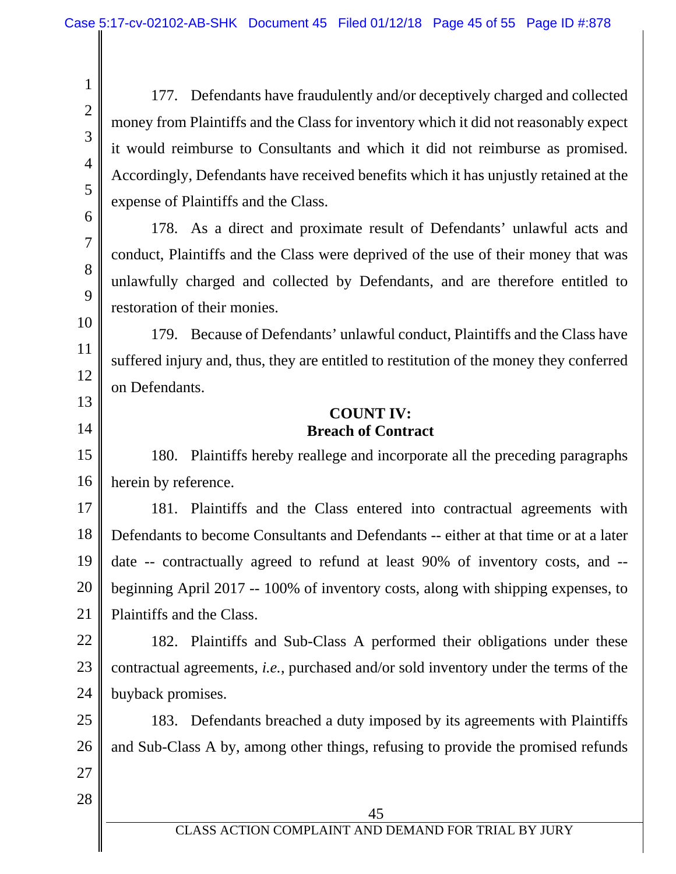177. Defendants have fraudulently and/or deceptively charged and collected money from Plaintiffs and the Class for inventory which it did not reasonably expect it would reimburse to Consultants and which it did not reimburse as promised. Accordingly, Defendants have received benefits which it has unjustly retained at the expense of Plaintiffs and the Class.

178. As a direct and proximate result of Defendants' unlawful acts and conduct, Plaintiffs and the Class were deprived of the use of their money that was unlawfully charged and collected by Defendants, and are therefore entitled to restoration of their monies.

12 13 179. Because of Defendants' unlawful conduct, Plaintiffs and the Class have suffered injury and, thus, they are entitled to restitution of the money they conferred on Defendants.

## **COUNT IV: Breach of Contract**

15 16 180. Plaintiffs hereby reallege and incorporate all the preceding paragraphs herein by reference.

17 18 19 20 21 181. Plaintiffs and the Class entered into contractual agreements with Defendants to become Consultants and Defendants -- either at that time or at a later date -- contractually agreed to refund at least 90% of inventory costs, and - beginning April 2017 -- 100% of inventory costs, along with shipping expenses, to Plaintiffs and the Class.

22 23 24 182. Plaintiffs and Sub-Class A performed their obligations under these contractual agreements, *i.e.*, purchased and/or sold inventory under the terms of the buyback promises.

25 26 183. Defendants breached a duty imposed by its agreements with Plaintiffs and Sub-Class A by, among other things, refusing to provide the promised refunds

28

27

1

2

3

4

5

6

7

8

9

10

11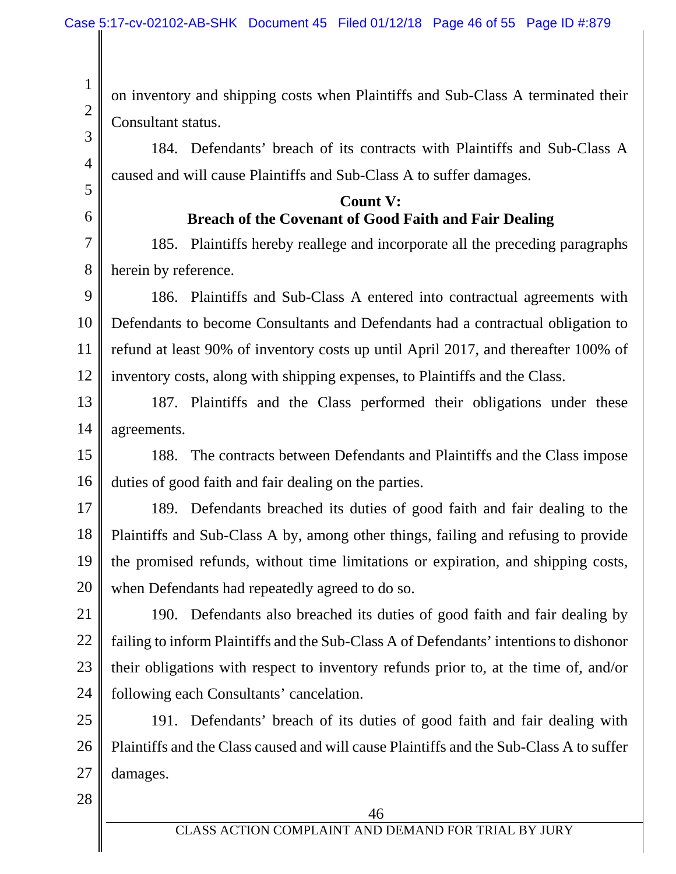on inventory and shipping costs when Plaintiffs and Sub-Class A terminated their Consultant status.

184. Defendants' breach of its contracts with Plaintiffs and Sub-Class A caused and will cause Plaintiffs and Sub-Class A to suffer damages.

> **Count V: Breach of the Covenant of Good Faith and Fair Dealing**

7 8 185. Plaintiffs hereby reallege and incorporate all the preceding paragraphs herein by reference.

9 10 11 12 186. Plaintiffs and Sub-Class A entered into contractual agreements with Defendants to become Consultants and Defendants had a contractual obligation to refund at least 90% of inventory costs up until April 2017, and thereafter 100% of inventory costs, along with shipping expenses, to Plaintiffs and the Class.

13 14 187. Plaintiffs and the Class performed their obligations under these agreements.

15 16 188. The contracts between Defendants and Plaintiffs and the Class impose duties of good faith and fair dealing on the parties.

17 18 19 20 189. Defendants breached its duties of good faith and fair dealing to the Plaintiffs and Sub-Class A by, among other things, failing and refusing to provide the promised refunds, without time limitations or expiration, and shipping costs, when Defendants had repeatedly agreed to do so.

21 22 23 24 190. Defendants also breached its duties of good faith and fair dealing by failing to inform Plaintiffs and the Sub-Class A of Defendants' intentions to dishonor their obligations with respect to inventory refunds prior to, at the time of, and/or following each Consultants' cancelation.

25 26 27 191. Defendants' breach of its duties of good faith and fair dealing with Plaintiffs and the Class caused and will cause Plaintiffs and the Sub-Class A to suffer damages.

28

1

2

3

4

5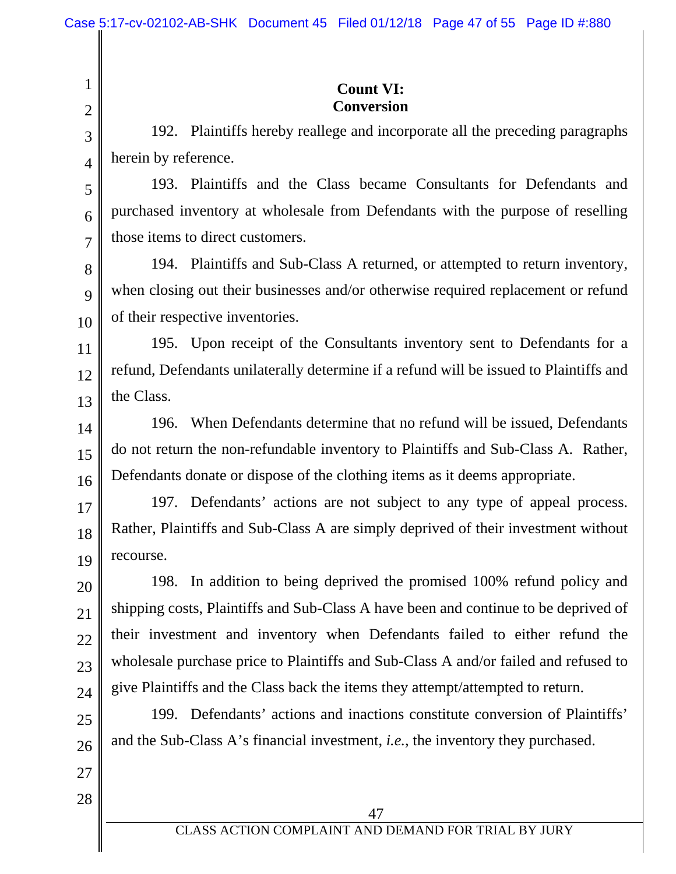2

3

4

5

6

7

27

28

## **Count VI: Conversion**

192. Plaintiffs hereby reallege and incorporate all the preceding paragraphs herein by reference.

193. Plaintiffs and the Class became Consultants for Defendants and purchased inventory at wholesale from Defendants with the purpose of reselling those items to direct customers.

8 9 10 194. Plaintiffs and Sub-Class A returned, or attempted to return inventory, when closing out their businesses and/or otherwise required replacement or refund of their respective inventories.

11 12 13 195. Upon receipt of the Consultants inventory sent to Defendants for a refund, Defendants unilaterally determine if a refund will be issued to Plaintiffs and the Class.

14 15 16 196. When Defendants determine that no refund will be issued, Defendants do not return the non-refundable inventory to Plaintiffs and Sub-Class A. Rather, Defendants donate or dispose of the clothing items as it deems appropriate.

17 18 19 197. Defendants' actions are not subject to any type of appeal process. Rather, Plaintiffs and Sub-Class A are simply deprived of their investment without recourse.

20 21 22 23 24 198. In addition to being deprived the promised 100% refund policy and shipping costs, Plaintiffs and Sub-Class A have been and continue to be deprived of their investment and inventory when Defendants failed to either refund the wholesale purchase price to Plaintiffs and Sub-Class A and/or failed and refused to give Plaintiffs and the Class back the items they attempt/attempted to return.

25 26 199. Defendants' actions and inactions constitute conversion of Plaintiffs' and the Sub-Class A's financial investment, *i.e.*, the inventory they purchased.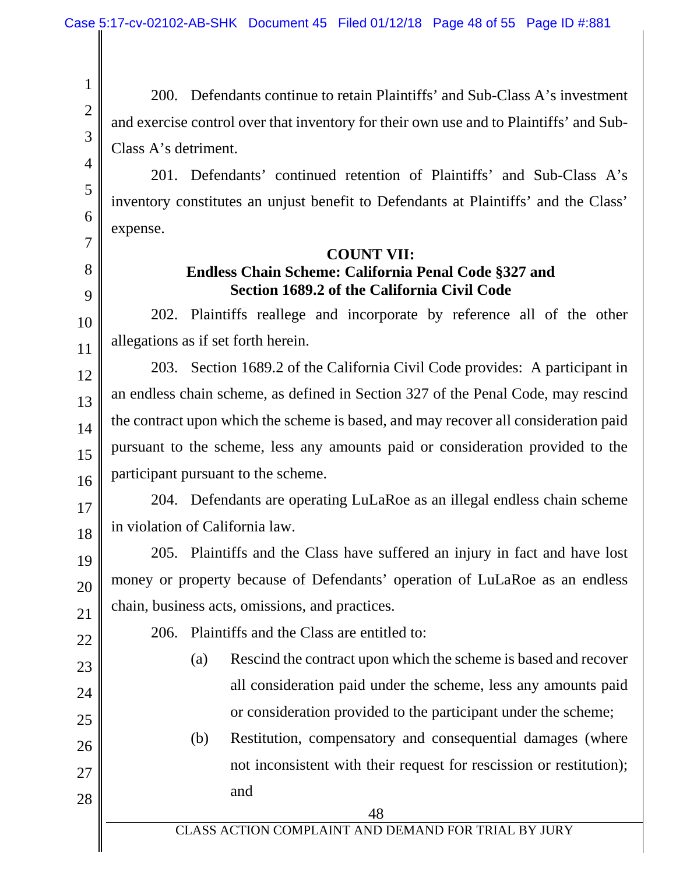2

3

4

5

6

7

8

9

10

11

12

13

14

15

16

17

18

20

21

22

23

24

25

26

27

28

200. Defendants continue to retain Plaintiffs' and Sub-Class A's investment and exercise control over that inventory for their own use and to Plaintiffs' and Sub-Class A's detriment.

201. Defendants' continued retention of Plaintiffs' and Sub-Class A's inventory constitutes an unjust benefit to Defendants at Plaintiffs' and the Class' expense.

#### **COUNT VII:**

# **Endless Chain Scheme: California Penal Code §327 and Section 1689.2 of the California Civil Code**

202. Plaintiffs reallege and incorporate by reference all of the other allegations as if set forth herein.

203. Section 1689.2 of the California Civil Code provides: A participant in an endless chain scheme, as defined in Section 327 of the Penal Code, may rescind the contract upon which the scheme is based, and may recover all consideration paid pursuant to the scheme, less any amounts paid or consideration provided to the participant pursuant to the scheme.

204. Defendants are operating LuLaRoe as an illegal endless chain scheme in violation of California law.

19 205. Plaintiffs and the Class have suffered an injury in fact and have lost money or property because of Defendants' operation of LuLaRoe as an endless chain, business acts, omissions, and practices.

206. Plaintiffs and the Class are entitled to:

(a) Rescind the contract upon which the scheme is based and recover all consideration paid under the scheme, less any amounts paid or consideration provided to the participant under the scheme;

(b) Restitution, compensatory and consequential damages (where not inconsistent with their request for rescission or restitution); and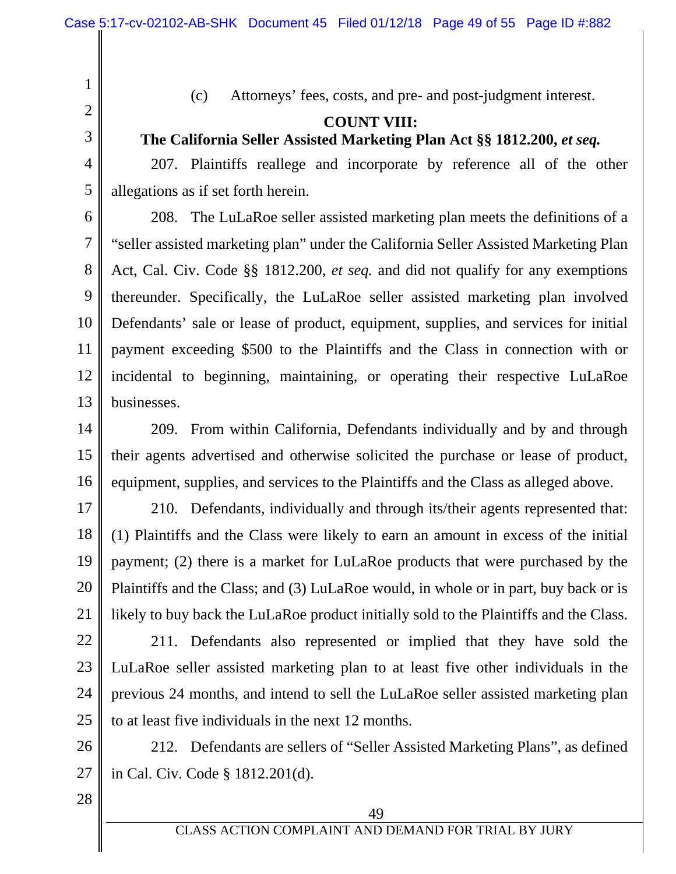1

3

4

5

(c) Attorneys' fees, costs, and pre- and post-judgment interest.

# **COUNT VIII:**

# **The California Seller Assisted Marketing Plan Act §§ 1812.200,** *et seq.*

207. Plaintiffs reallege and incorporate by reference all of the other allegations as if set forth herein.

6 7 8 9 10 11 12 13 208. The LuLaRoe seller assisted marketing plan meets the definitions of a "seller assisted marketing plan" under the California Seller Assisted Marketing Plan Act, Cal. Civ. Code §§ 1812.200, *et seq.* and did not qualify for any exemptions thereunder. Specifically, the LuLaRoe seller assisted marketing plan involved Defendants' sale or lease of product, equipment, supplies, and services for initial payment exceeding \$500 to the Plaintiffs and the Class in connection with or incidental to beginning, maintaining, or operating their respective LuLaRoe businesses.

14 15 16 209. From within California, Defendants individually and by and through their agents advertised and otherwise solicited the purchase or lease of product, equipment, supplies, and services to the Plaintiffs and the Class as alleged above.

17 18 19 20 21 210. Defendants, individually and through its/their agents represented that: (1) Plaintiffs and the Class were likely to earn an amount in excess of the initial payment; (2) there is a market for LuLaRoe products that were purchased by the Plaintiffs and the Class; and (3) LuLaRoe would, in whole or in part, buy back or is likely to buy back the LuLaRoe product initially sold to the Plaintiffs and the Class.

22 23 24 25 211. Defendants also represented or implied that they have sold the LuLaRoe seller assisted marketing plan to at least five other individuals in the previous 24 months, and intend to sell the LuLaRoe seller assisted marketing plan to at least five individuals in the next 12 months.

26 27 212. Defendants are sellers of "Seller Assisted Marketing Plans", as defined in Cal. Civ. Code § 1812.201(d).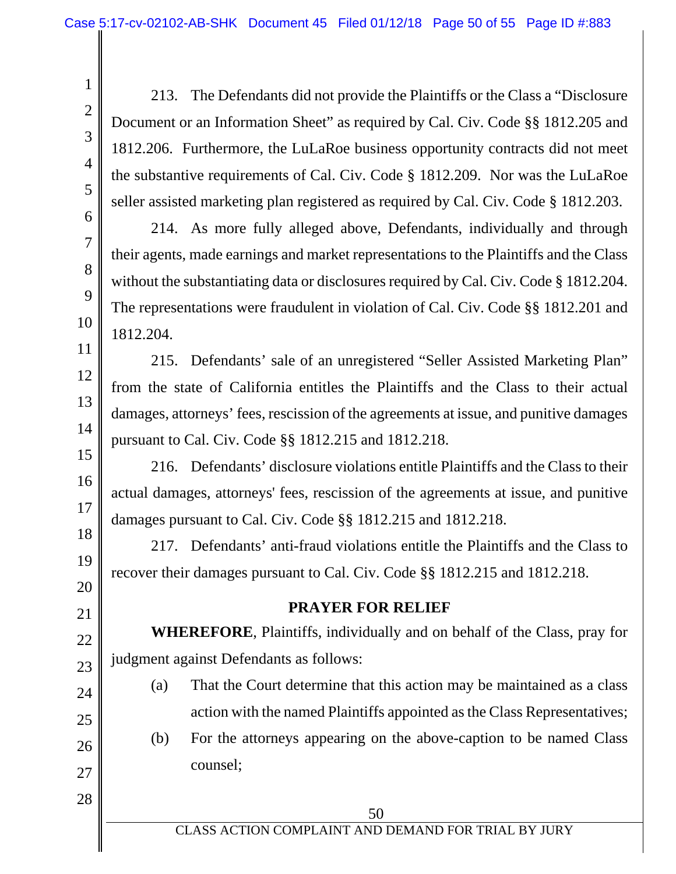213. The Defendants did not provide the Plaintiffs or the Class a "Disclosure Document or an Information Sheet" as required by Cal. Civ. Code §§ 1812.205 and 1812.206. Furthermore, the LuLaRoe business opportunity contracts did not meet the substantive requirements of Cal. Civ. Code § 1812.209. Nor was the LuLaRoe seller assisted marketing plan registered as required by Cal. Civ. Code § 1812.203.

214. As more fully alleged above, Defendants, individually and through their agents, made earnings and market representations to the Plaintiffs and the Class without the substantiating data or disclosures required by Cal. Civ. Code § 1812.204. The representations were fraudulent in violation of Cal. Civ. Code §§ 1812.201 and 1812.204.

215. Defendants' sale of an unregistered "Seller Assisted Marketing Plan" from the state of California entitles the Plaintiffs and the Class to their actual damages, attorneys' fees, rescission of the agreements at issue, and punitive damages pursuant to Cal. Civ. Code §§ 1812.215 and 1812.218.

216. Defendants' disclosure violations entitle Plaintiffs and the Class to their actual damages, attorneys' fees, rescission of the agreements at issue, and punitive damages pursuant to Cal. Civ. Code §§ 1812.215 and 1812.218.

217. Defendants' anti-fraud violations entitle the Plaintiffs and the Class to recover their damages pursuant to Cal. Civ. Code §§ 1812.215 and 1812.218.

#### **PRAYER FOR RELIEF**

**WHEREFORE**, Plaintiffs, individually and on behalf of the Class, pray for judgment against Defendants as follows:

24

1

2

3

4

5

6

7

8

9

10

11

12

13

14

15

16

17

18

19

20

21

22

23

25 26

action with the named Plaintiffs appointed as the Class Representatives; (b) For the attorneys appearing on the above-caption to be named Class counsel;

(a) That the Court determine that this action may be maintained as a class

28

27

CLASS ACTION COMPLAINT AND DEMAND FOR TRIAL BY JURY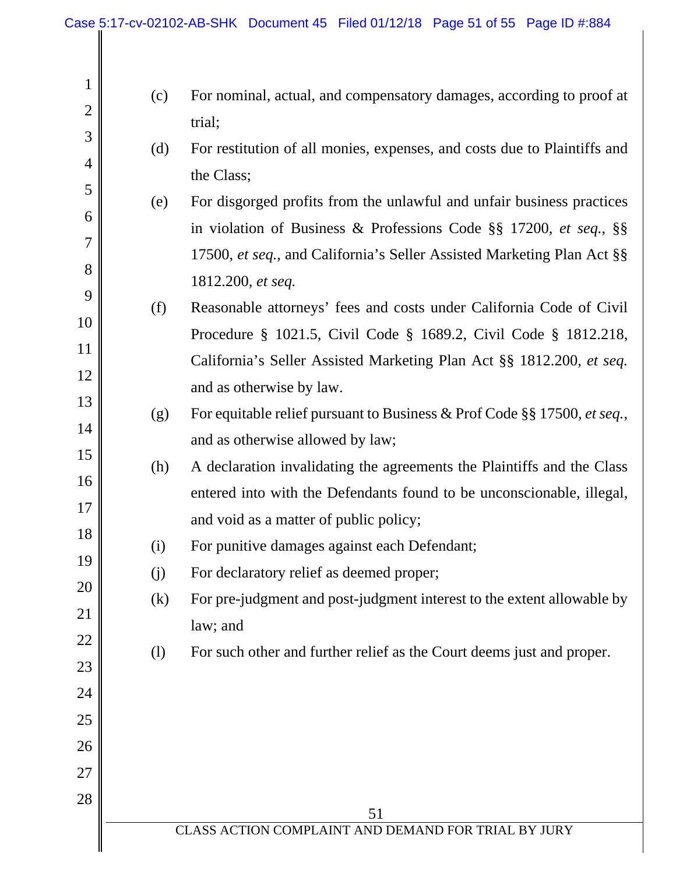| $\mathbf{1}$<br>$\overline{2}$ | (c)                          | For nominal, actual, and compensatory damages, according to proof at<br>trial;                                                                                                                                       |
|--------------------------------|------------------------------|----------------------------------------------------------------------------------------------------------------------------------------------------------------------------------------------------------------------|
| 3<br>$\overline{4}$            | (d)                          | For restitution of all monies, expenses, and costs due to Plaintiffs and<br>the Class;                                                                                                                               |
| 5<br>6<br>$\overline{7}$       | (e)                          | For disgorged profits from the unlawful and unfair business practices<br>in violation of Business & Professions Code §§ 17200, et seq., §§<br>17500, et seq., and California's Seller Assisted Marketing Plan Act §§ |
| 8<br>9<br>10                   | (f)                          | 1812.200, et seq.<br>Reasonable attorneys' fees and costs under California Code of Civil<br>Procedure § 1021.5, Civil Code § 1689.2, Civil Code § 1812.218,                                                          |
| 11<br>12<br>13                 |                              | California's Seller Assisted Marketing Plan Act §§ 1812.200, et seq.<br>and as otherwise by law.                                                                                                                     |
| 14<br>15                       | (g)                          | For equitable relief pursuant to Business & Prof Code §§ 17500, et seq.,<br>and as otherwise allowed by law;                                                                                                         |
| 16<br>17                       | (h)                          | A declaration invalidating the agreements the Plaintiffs and the Class<br>entered into with the Defendants found to be unconscionable, illegal,<br>and void as a matter of public policy;                            |
| 18<br>19                       | (i)                          | For punitive damages against each Defendant;                                                                                                                                                                         |
| 20<br>21                       | (j)<br>(k)                   | For declaratory relief as deemed proper;<br>For pre-judgment and post-judgment interest to the extent allowable by<br>law; and                                                                                       |
| 22<br>23<br>24                 | $\left( \frac{1}{2} \right)$ | For such other and further relief as the Court deems just and proper.                                                                                                                                                |
| 25<br>26                       |                              |                                                                                                                                                                                                                      |
| 27<br>28                       |                              | 51                                                                                                                                                                                                                   |
|                                |                              | CLASS ACTION COMPLAINT AND DEMAND FOR TRIAL BY JURY                                                                                                                                                                  |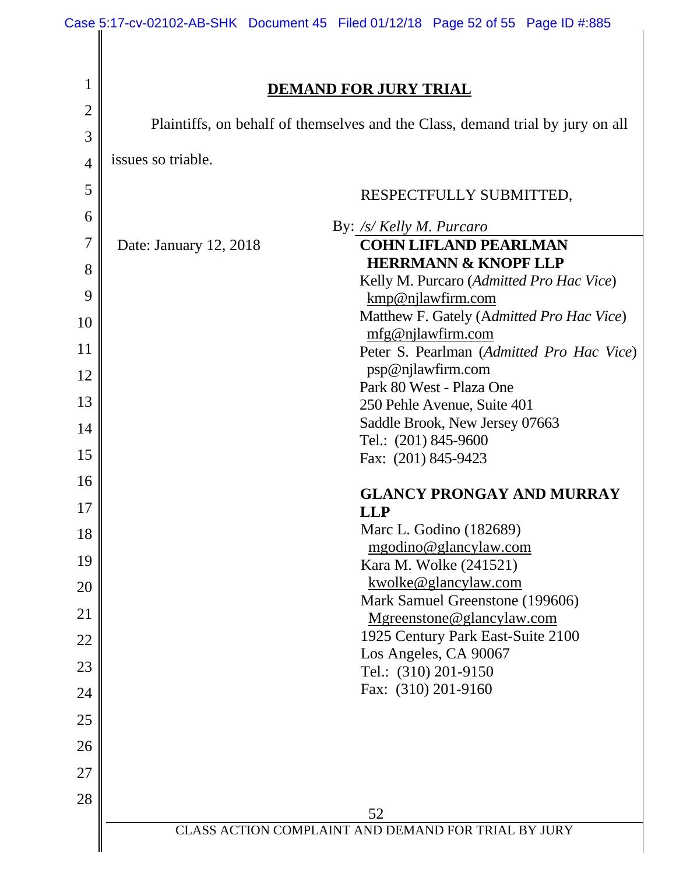| <b>DEMAND FOR JURY TRIAL</b>                                                   |  |
|--------------------------------------------------------------------------------|--|
|                                                                                |  |
| Plaintiffs, on behalf of themselves and the Class, demand trial by jury on all |  |
| issues so triable.                                                             |  |
| RESPECTFULLY SUBMITTED,                                                        |  |
| By: /s/ Kelly M. Purcaro                                                       |  |
| <b>COHN LIFLAND PEARLMAN</b><br>Date: January 12, 2018                         |  |
| <b>HERRMANN &amp; KNOPF LLP</b>                                                |  |
| Kelly M. Purcaro (Admitted Pro Hac Vice)<br>kmp@njlawfirm.com                  |  |
| Matthew F. Gately (Admitted Pro Hac Vice)                                      |  |
| mfg@njlawfirm.com<br>Peter S. Pearlman (Admitted Pro Hac Vice)                 |  |
| psp@njlawfirm.com                                                              |  |
| Park 80 West - Plaza One                                                       |  |
| 250 Pehle Avenue, Suite 401                                                    |  |
| Saddle Brook, New Jersey 07663<br>Tel.: (201) 845-9600                         |  |
| Fax: (201) 845-9423                                                            |  |
|                                                                                |  |
| <b>GLANCY PRONGAY AND MURRAY</b><br><b>LLP</b>                                 |  |
| Marc L. Godino (182689)                                                        |  |
| mgodino@glancylaw.com                                                          |  |
| Kara M. Wolke (241521)                                                         |  |
| kwolke@glancylaw.com<br>Mark Samuel Greenstone (199606)                        |  |
| Mgreenstone@glancylaw.com                                                      |  |
| 1925 Century Park East-Suite 2100                                              |  |
| Los Angeles, CA 90067<br>Tel.: (310) 201-9150                                  |  |
| Fax: (310) 201-9160                                                            |  |
|                                                                                |  |
|                                                                                |  |
|                                                                                |  |
|                                                                                |  |
| 52<br>CLASS ACTION COMPLAINT AND DEMAND FOR TRIAL BY JURY                      |  |
|                                                                                |  |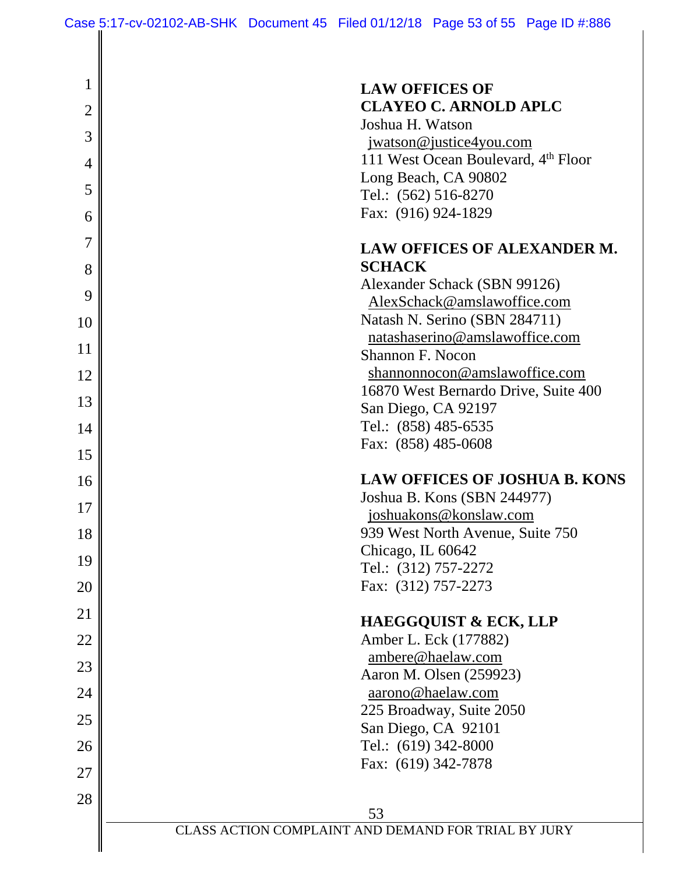| 1              | <b>LAW OFFICES OF</b>                                          |
|----------------|----------------------------------------------------------------|
| $\overline{2}$ | <b>CLAYEO C. ARNOLD APLC</b>                                   |
| 3              | Joshua H. Watson                                               |
|                | jwatson@justice4you.com<br>111 West Ocean Boulevard, 4th Floor |
| $\overline{4}$ | Long Beach, CA 90802                                           |
| 5              | Tel.: (562) 516-8270                                           |
| 6              | Fax: (916) 924-1829                                            |
| 7              | <b>LAW OFFICES OF ALEXANDER M.</b>                             |
| 8              | <b>SCHACK</b>                                                  |
| 9              | Alexander Schack (SBN 99126)                                   |
|                | AlexSchack@amslawoffice.com<br>Natash N. Serino (SBN 284711)   |
| 10             | natashaserino@amslawoffice.com                                 |
| 11             | Shannon F. Nocon                                               |
| 12             | shannonnocon@amslawoffice.com                                  |
| 13             | 16870 West Bernardo Drive, Suite 400                           |
|                | San Diego, CA 92197<br>Tel.: (858) 485-6535                    |
| 14             | Fax: (858) 485-0608                                            |
| 15             |                                                                |
| 16             | <b>LAW OFFICES OF JOSHUA B. KONS</b>                           |
| 17             | Joshua B. Kons (SBN 244977)                                    |
| 18             | joshuakons@konslaw.com<br>939 West North Avenue, Suite 750     |
|                | Chicago, IL 60642                                              |
| 19             | Tel.: (312) 757-2272                                           |
| 20             | Fax: (312) 757-2273                                            |
| 21             | <b>HAEGGQUIST &amp; ECK, LLP</b>                               |
| 22             | Amber L. Eck (177882)                                          |
| 23             | ambere@haelaw.com                                              |
| 24             | Aaron M. Olsen (259923)<br>aarono@haelaw.com                   |
|                | 225 Broadway, Suite 2050                                       |
| 25             | San Diego, CA 92101                                            |
| 26             | Tel.: (619) 342-8000                                           |
| 27             | Fax: (619) 342-7878                                            |
| 28             |                                                                |
|                | 53                                                             |
|                | CLASS ACTION COMPLAINT AND DEMAND FOR TRIAL BY JURY            |
|                |                                                                |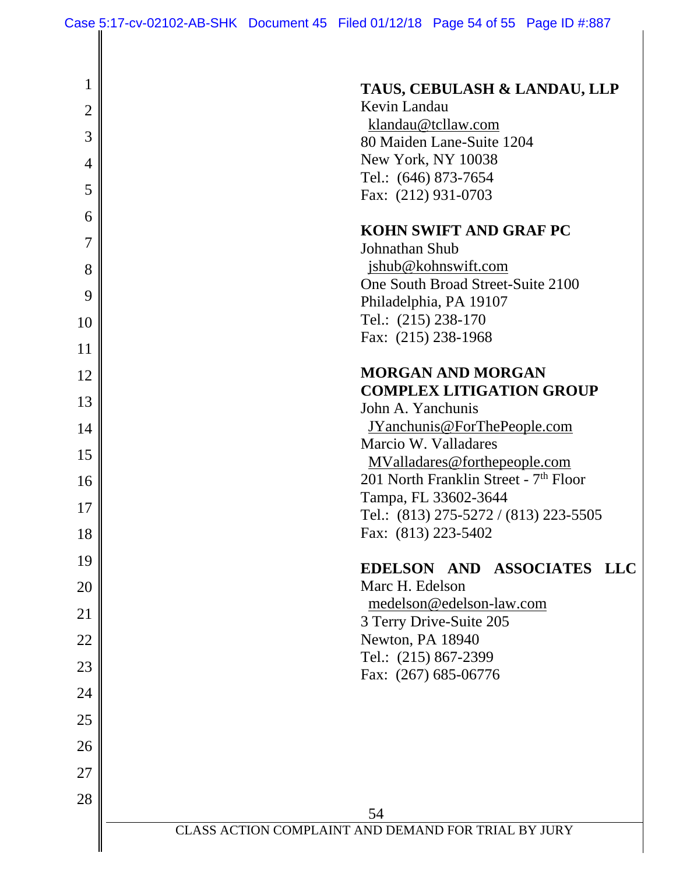| 1              | TAUS, CEBULASH & LANDAU, LLP                                  |
|----------------|---------------------------------------------------------------|
| $\overline{2}$ | Kevin Landau                                                  |
| 3              | klandau@tcllaw.com                                            |
|                | 80 Maiden Lane-Suite 1204<br>New York, NY 10038               |
| $\overline{4}$ | Tel.: (646) 873-7654                                          |
| 5              | Fax: (212) 931-0703                                           |
| 6              |                                                               |
| 7              | <b>KOHN SWIFT AND GRAF PC</b><br>Johnathan Shub               |
| 8              | jshub@kohnswift.com                                           |
| 9              | One South Broad Street-Suite 2100                             |
|                | Philadelphia, PA 19107                                        |
| 10             | Tel.: (215) 238-170<br>Fax: (215) 238-1968                    |
| 11             |                                                               |
| 12             | <b>MORGAN AND MORGAN</b>                                      |
| 13             | <b>COMPLEX LITIGATION GROUP</b><br>John A. Yanchunis          |
| 14             | JYanchunis@ForThePeople.com                                   |
|                | Marcio W. Valladares                                          |
| 15             | MValladares@forthepeople.com                                  |
| 16             | 201 North Franklin Street - 7 <sup>th</sup> Floor             |
| 17             | Tampa, FL 33602-3644<br>Tel.: (813) 275-5272 / (813) 223-5505 |
| 18             | Fax: (813) 223-5402                                           |
| 19             |                                                               |
|                | EDELSON AND ASSOCIATES LLC                                    |
| 20             | Marc H. Edelson<br>medelson@edelson-law.com                   |
| 21             | 3 Terry Drive-Suite 205                                       |
| 22             | Newton, PA 18940                                              |
| 23             | Tel.: (215) 867-2399                                          |
| 24             | Fax: (267) 685-06776                                          |
| 25             |                                                               |
|                |                                                               |
| 26             |                                                               |
| 27             |                                                               |
| 28             |                                                               |
|                | 54<br>CLASS ACTION COMPLAINT AND DEMAND FOR TRIAL BY JURY     |
|                |                                                               |